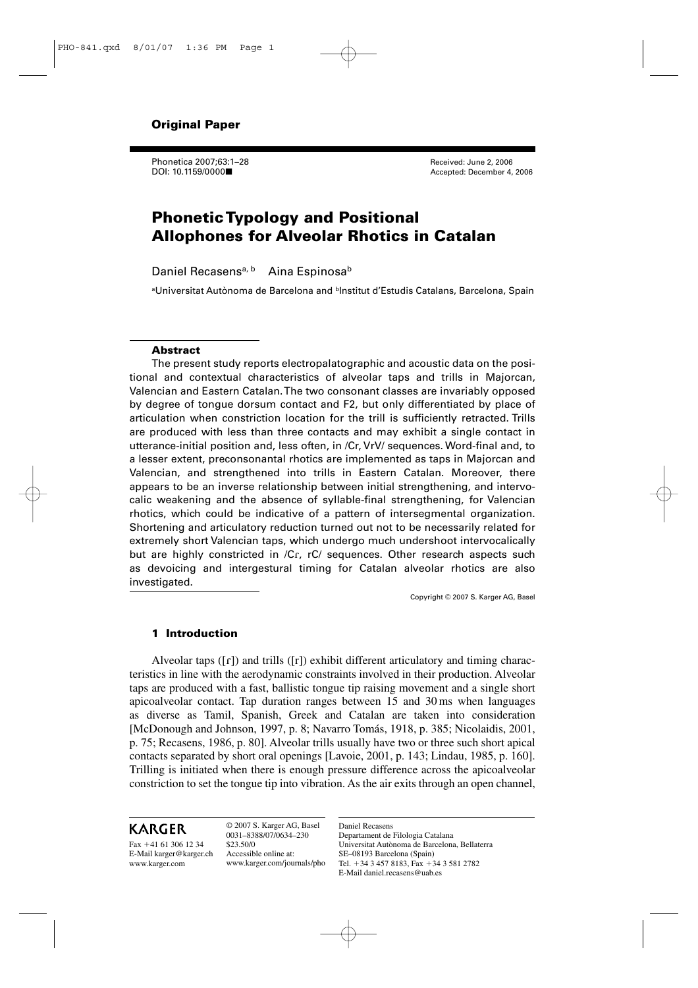## **Original Paper**

Phonetica 2007;63:1–28<br>DOI: 10.1159/0000■<br>Accepted: December 4.

Accepted: December 4, 2006

# **Phonetic Typology and Positional Allophones for Alveolar Rhotics in Catalan**

Daniel Recasens<sup>a, b</sup> Aina Espinosa<sup>b</sup>

aUniversitat Autònoma de Barcelona and <sup>b</sup>Institut d'Estudis Catalans, Barcelona, Spain

#### **Abstract**

The present study reports electropalatographic and acoustic data on the positional and contextual characteristics of alveolar taps and trills in Majorcan, Valencian and Eastern Catalan. The two consonant classes are invariably opposed by degree of tongue dorsum contact and F2, but only differentiated by place of articulation when constriction location for the trill is sufficiently retracted. Trills are produced with less than three contacts and may exhibit a single contact in utterance-initial position and, less often, in /Cr, VrV/ sequences. Word-final and, to a lesser extent, preconsonantal rhotics are implemented as taps in Majorcan and Valencian, and strengthened into trills in Eastern Catalan. Moreover, there appears to be an inverse relationship between initial strengthening, and intervocalic weakening and the absence of syllable-final strengthening, for Valencian rhotics, which could be indicative of a pattern of intersegmental organization. Shortening and articulatory reduction turned out not to be necessarily related for extremely short Valencian taps, which undergo much undershoot intervocalically but are highly constricted in /Cɾ, rC/ sequences. Other research aspects such as devoicing and intergestural timing for Catalan alveolar rhotics are also investigated.

Copyright © 2007 S. Karger AG, Basel

### **1 Introduction**

Alveolar taps  $(\lceil \mathbf{r} \rceil)$  and trills  $(\lceil \mathbf{r} \rceil)$  exhibit different articulatory and timing characteristics in line with the aerodynamic constraints involved in their production. Alveolar taps are produced with a fast, ballistic tongue tip raising movement and a single short apicoalveolar contact. Tap duration ranges between 15 and 30 ms when languages as diverse as Tamil, Spanish, Greek and Catalan are taken into consideration [McDonough and Johnson, 1997, p. 8; Navarro Tomás, 1918, p. 385; Nicolaidis, 2001, p. 75; Recasens, 1986, p. 80]. Alveolar trills usually have two or three such short apical contacts separated by short oral openings [Lavoie, 2001, p. 143; Lindau, 1985, p. 160]. Trilling is initiated when there is enough pressure difference across the apicoalveolar constriction to set the tongue tip into vibration. As the air exits through an open channel,

# **KARGER**

 $F_{2X}$  +41 61 306 12 34 E-Mail karger@karger.ch www.karger.com

© 2007 S. Karger AG, Basel 0031–8388/07/0634–230 \$23.50/0 Accessible online at: www.karger.com/journals/pho Daniel Recasens Departament de Filologia Catalana Universitat Autònoma de Barcelona, Bellaterra SE–08193 Barcelona (Spain) Tel.  $+34$  3 457 8183, Fax  $+34$  3 581 2782 E-Mail daniel recasens@uab.es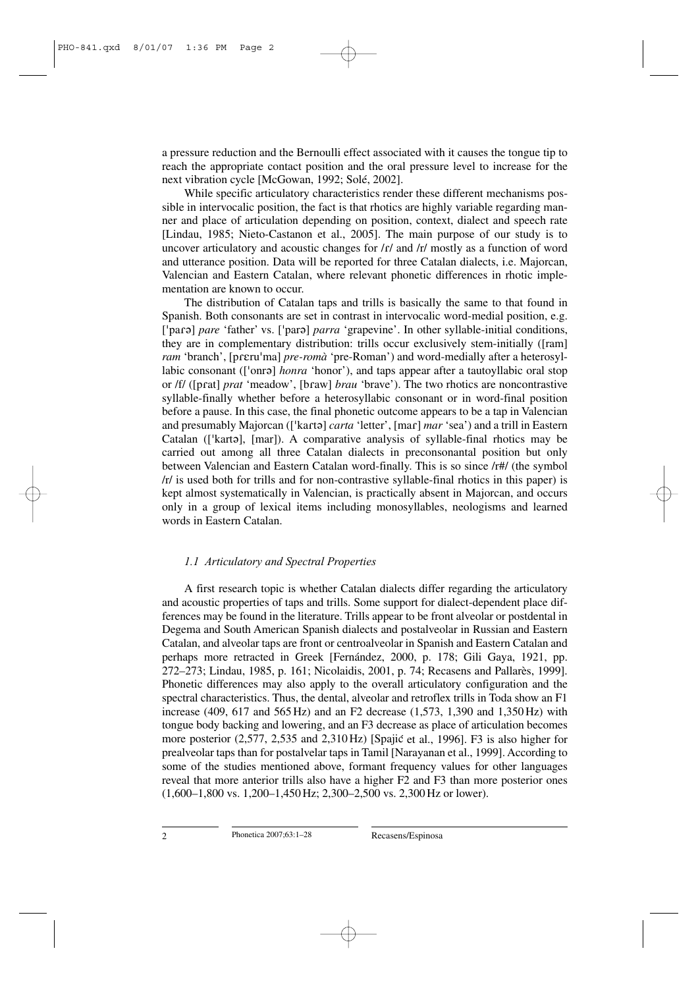a pressure reduction and the Bernoulli effect associated with it causes the tongue tip to reach the appropriate contact position and the oral pressure level to increase for the next vibration cycle [McGowan, 1992; Solé, 2002].

While specific articulatory characteristics render these different mechanisms possible in intervocalic position, the fact is that rhotics are highly variable regarding manner and place of articulation depending on position, context, dialect and speech rate [Lindau, 1985; Nieto-Castanon et al., 2005]. The main purpose of our study is to uncover articulatory and acoustic changes for /r/ and /r/ mostly as a function of word and utterance position. Data will be reported for three Catalan dialects, i.e. Majorcan, Valencian and Eastern Catalan, where relevant phonetic differences in rhotic implementation are known to occur.

The distribution of Catalan taps and trills is basically the same to that found in Spanish. Both consonants are set in contrast in intervocalic word-medial position, e.g. ['parə] pare 'father' vs. ['parə] parra 'grapevine'. In other syllable-initial conditions, they are in complementary distribution: trills occur exclusively stem-initially ([ram] ram 'branch', [prɛruˈma] *pre-romà* 'pre-Roman') and word-medially after a heterosyllabic consonant (['onrə] *honra* 'honor'), and taps appear after a tautoyllabic oral stop or /f/ ([pɾat] *prat* 'meadow', [bɾaw] *brau* 'brave'). The two rhotics are noncontrastive syllable-finally whether before a heterosyllabic consonant or in word-final position before a pause. In this case, the final phonetic outcome appears to be a tap in Valencian and presumably Majorcan (['kartə] *carta* 'letter', [mar] *mar* 'sea') and a trill in Eastern Catalan (['kartə], [mar]). A comparative analysis of syllable-final rhotics may be carried out among all three Catalan dialects in preconsonantal position but only between Valencian and Eastern Catalan word-finally. This is so since /r#/ (the symbol /r/ is used both for trills and for non-contrastive syllable-final rhotics in this paper) is kept almost systematically in Valencian, is practically absent in Majorcan, and occurs only in a group of lexical items including monosyllables, neologisms and learned words in Eastern Catalan.

#### *1.1 Articulatory and Spectral Properties*

A first research topic is whether Catalan dialects differ regarding the articulatory and acoustic properties of taps and trills. Some support for dialect-dependent place differences may be found in the literature. Trills appear to be front alveolar or postdental in Degema and South American Spanish dialects and postalveolar in Russian and Eastern Catalan, and alveolar taps are front or centroalveolar in Spanish and Eastern Catalan and perhaps more retracted in Greek [Fernández, 2000, p. 178; Gili Gaya, 1921, pp. 272–273; Lindau, 1985, p. 161; Nicolaidis, 2001, p. 74; Recasens and Pallarès, 1999]. Phonetic differences may also apply to the overall articulatory configuration and the spectral characteristics. Thus, the dental, alveolar and retroflex trills in Toda show an F1 increase (409, 617 and 565 Hz) and an F2 decrease (1,573, 1,390 and 1,350 Hz) with tongue body backing and lowering, and an F3 decrease as place of articulation becomes more posterior  $(2,577, 2,535, 2,310 \text{ Hz})$  [Spajic´ et al., 1996]. F3 is also higher for prealveolar taps than for postalvelar taps in Tamil [Narayanan et al., 1999]. According to some of the studies mentioned above, formant frequency values for other languages reveal that more anterior trills also have a higher F2 and F3 than more posterior ones (1,600–1,800 vs. 1,200–1,450 Hz; 2,300–2,500 vs. 2,300 Hz or lower).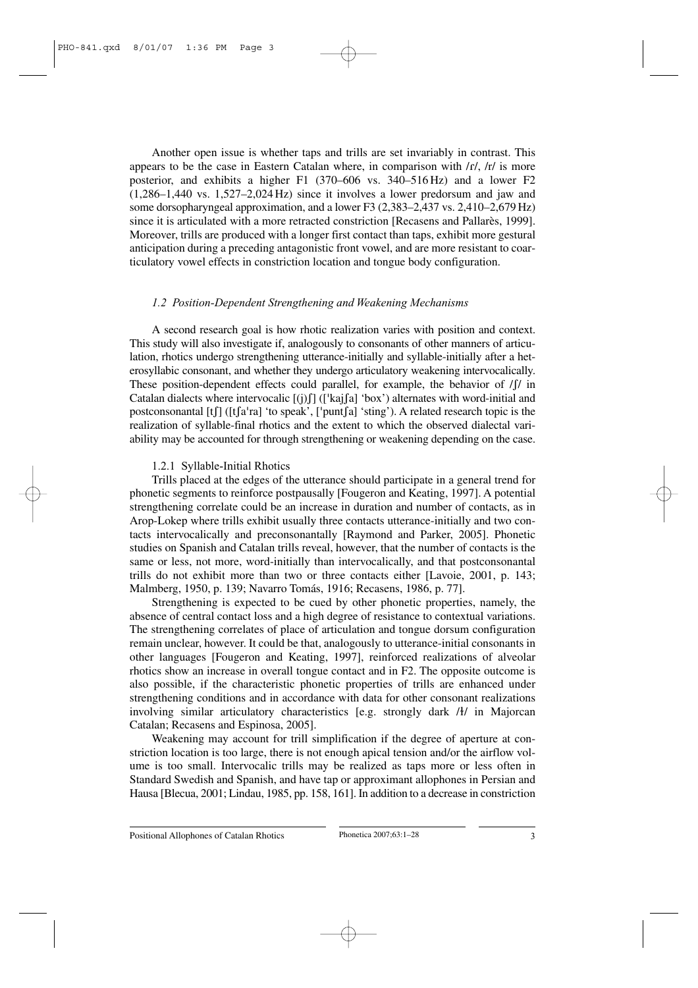Another open issue is whether taps and trills are set invariably in contrast. This appears to be the case in Eastern Catalan where, in comparison with  $\frac{f}{f}$ ,  $\frac{f}{f}$  is more posterior, and exhibits a higher F1 (370–606 vs. 340–516 Hz) and a lower F2 (1,286–1,440 vs. 1,527–2,024 Hz) since it involves a lower predorsum and jaw and some dorsopharyngeal approximation, and a lower F3 (2,383–2,437 vs. 2,410–2,679 Hz) since it is articulated with a more retracted constriction [Recasens and Pallarès, 1999]. Moreover, trills are produced with a longer first contact than taps, exhibit more gestural anticipation during a preceding antagonistic front vowel, and are more resistant to coarticulatory vowel effects in constriction location and tongue body configuration.

#### *1.2 Position-Dependent Strengthening and Weakening Mechanisms*

A second research goal is how rhotic realization varies with position and context. This study will also investigate if, analogously to consonants of other manners of articulation, rhotics undergo strengthening utterance-initially and syllable-initially after a heterosyllabic consonant, and whether they undergo articulatory weakening intervocalically. These position-dependent effects could parallel, for example, the behavior of /ʃ/ in Catalan dialects where intervocalic [(j) [] (['kaj fa] 'box') alternates with word-initial and postconsonantal [tʃ] ([tʃa'ra] 'to speak', ['puntʃa] 'sting'). A related research topic is the realization of syllable-final rhotics and the extent to which the observed dialectal variability may be accounted for through strengthening or weakening depending on the case.

#### 1.2.1 Syllable-Initial Rhotics

Trills placed at the edges of the utterance should participate in a general trend for phonetic segments to reinforce postpausally [Fougeron and Keating, 1997]. A potential strengthening correlate could be an increase in duration and number of contacts, as in Arop-Lokep where trills exhibit usually three contacts utterance-initially and two contacts intervocalically and preconsonantally [Raymond and Parker, 2005]. Phonetic studies on Spanish and Catalan trills reveal, however, that the number of contacts is the same or less, not more, word-initially than intervocalically, and that postconsonantal trills do not exhibit more than two or three contacts either [Lavoie, 2001, p. 143; Malmberg, 1950, p. 139; Navarro Tomás, 1916; Recasens, 1986, p. 77].

Strengthening is expected to be cued by other phonetic properties, namely, the absence of central contact loss and a high degree of resistance to contextual variations. The strengthening correlates of place of articulation and tongue dorsum configuration remain unclear, however. It could be that, analogously to utterance-initial consonants in other languages [Fougeron and Keating, 1997], reinforced realizations of alveolar rhotics show an increase in overall tongue contact and in F2. The opposite outcome is also possible, if the characteristic phonetic properties of trills are enhanced under strengthening conditions and in accordance with data for other consonant realizations involving similar articulatory characteristics [e.g. strongly dark /ł/ in Majorcan Catalan; Recasens and Espinosa, 2005].

Weakening may account for trill simplification if the degree of aperture at constriction location is too large, there is not enough apical tension and/or the airflow volume is too small. Intervocalic trills may be realized as taps more or less often in Standard Swedish and Spanish, and have tap or approximant allophones in Persian and Hausa [Blecua, 2001; Lindau, 1985, pp. 158, 161]. In addition to a decrease in constriction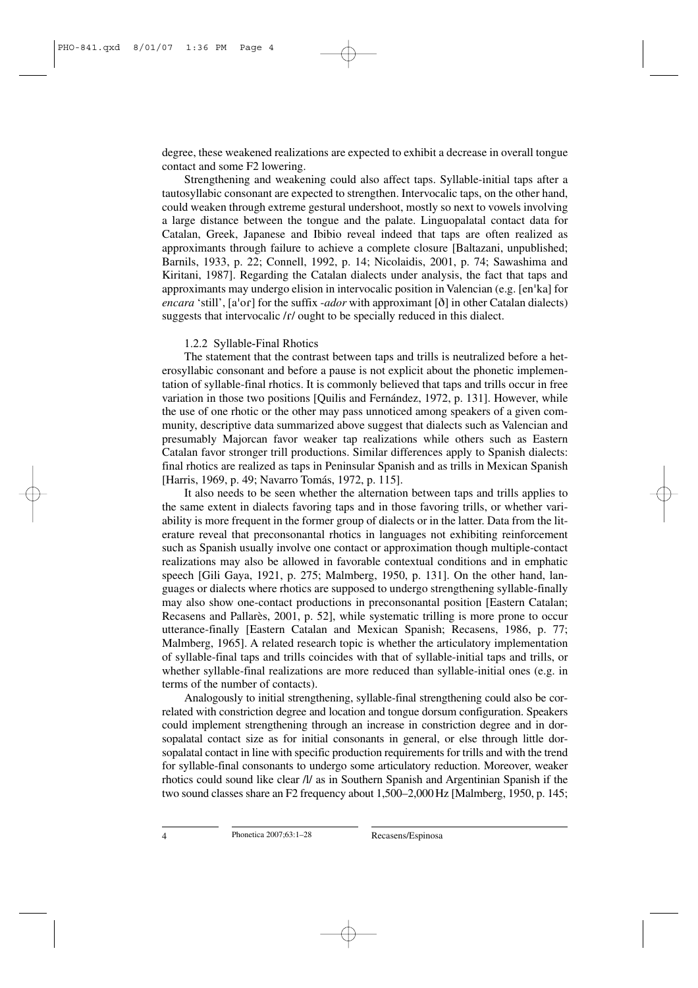degree, these weakened realizations are expected to exhibit a decrease in overall tongue contact and some F2 lowering.

Strengthening and weakening could also affect taps. Syllable-initial taps after a tautosyllabic consonant are expected to strengthen. Intervocalic taps, on the other hand, could weaken through extreme gestural undershoot, mostly so next to vowels involving a large distance between the tongue and the palate. Linguopalatal contact data for Catalan, Greek, Japanese and Ibibio reveal indeed that taps are often realized as approximants through failure to achieve a complete closure [Baltazani, unpublished; Barnils, 1933, p. 22; Connell, 1992, p. 14; Nicolaidis, 2001, p. 74; Sawashima and Kiritani, 1987]. Regarding the Catalan dialects under analysis, the fact that taps and approximants may undergo elision in intervocalic position in Valencian (e.g. [en'ka] for *encara* 'still', [a'or] for the suffix *-ador* with approximant [ð] in other Catalan dialects) suggests that intervocalic /r/ ought to be specially reduced in this dialect.

### 1.2.2 Syllable-Final Rhotics

The statement that the contrast between taps and trills is neutralized before a heterosyllabic consonant and before a pause is not explicit about the phonetic implementation of syllable-final rhotics. It is commonly believed that taps and trills occur in free variation in those two positions [Quilis and Fernández, 1972, p. 131]. However, while the use of one rhotic or the other may pass unnoticed among speakers of a given community, descriptive data summarized above suggest that dialects such as Valencian and presumably Majorcan favor weaker tap realizations while others such as Eastern Catalan favor stronger trill productions. Similar differences apply to Spanish dialects: final rhotics are realized as taps in Peninsular Spanish and as trills in Mexican Spanish [Harris, 1969, p. 49; Navarro Tomás, 1972, p. 115].

It also needs to be seen whether the alternation between taps and trills applies to the same extent in dialects favoring taps and in those favoring trills, or whether variability is more frequent in the former group of dialects or in the latter. Data from the literature reveal that preconsonantal rhotics in languages not exhibiting reinforcement such as Spanish usually involve one contact or approximation though multiple-contact realizations may also be allowed in favorable contextual conditions and in emphatic speech [Gili Gaya, 1921, p. 275; Malmberg, 1950, p. 131]. On the other hand, languages or dialects where rhotics are supposed to undergo strengthening syllable-finally may also show one-contact productions in preconsonantal position [Eastern Catalan; Recasens and Pallarès, 2001, p. 52], while systematic trilling is more prone to occur utterance-finally [Eastern Catalan and Mexican Spanish; Recasens, 1986, p. 77; Malmberg, 1965]. A related research topic is whether the articulatory implementation of syllable-final taps and trills coincides with that of syllable-initial taps and trills, or whether syllable-final realizations are more reduced than syllable-initial ones (e.g. in terms of the number of contacts).

Analogously to initial strengthening, syllable-final strengthening could also be correlated with constriction degree and location and tongue dorsum configuration. Speakers could implement strengthening through an increase in constriction degree and in dorsopalatal contact size as for initial consonants in general, or else through little dorsopalatal contact in line with specific production requirements for trills and with the trend for syllable-final consonants to undergo some articulatory reduction. Moreover, weaker rhotics could sound like clear /l/ as in Southern Spanish and Argentinian Spanish if the two sound classes share an F2 frequency about 1,500–2,000 Hz [Malmberg, 1950, p. 145;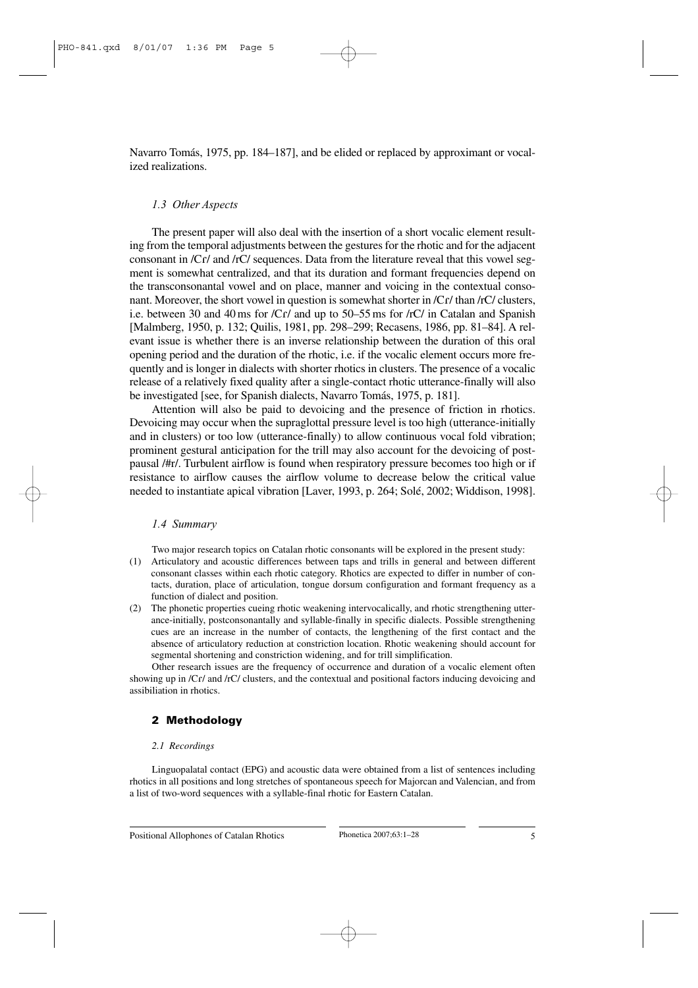Navarro Tomás, 1975, pp. 184–187], and be elided or replaced by approximant or vocalized realizations.

### *1.3 Other Aspects*

The present paper will also deal with the insertion of a short vocalic element resulting from the temporal adjustments between the gestures for the rhotic and for the adjacent consonant in /Cr/ and /rC/ sequences. Data from the literature reveal that this vowel segment is somewhat centralized, and that its duration and formant frequencies depend on the transconsonantal vowel and on place, manner and voicing in the contextual consonant. Moreover, the short vowel in question is somewhat shorter in /Cr/ than /rC/ clusters, i.e. between 30 and 40 ms for /Cɾ/ and up to 50–55 ms for /rC/ in Catalan and Spanish [Malmberg, 1950, p. 132; Quilis, 1981, pp. 298–299; Recasens, 1986, pp. 81–84]. A relevant issue is whether there is an inverse relationship between the duration of this oral opening period and the duration of the rhotic, i.e. if the vocalic element occurs more frequently and is longer in dialects with shorter rhotics in clusters. The presence of a vocalic release of a relatively fixed quality after a single-contact rhotic utterance-finally will also be investigated [see, for Spanish dialects, Navarro Tomás, 1975, p. 181].

Attention will also be paid to devoicing and the presence of friction in rhotics. Devoicing may occur when the supraglottal pressure level is too high (utterance-initially and in clusters) or too low (utterance-finally) to allow continuous vocal fold vibration; prominent gestural anticipation for the trill may also account for the devoicing of postpausal /#r/. Turbulent airflow is found when respiratory pressure becomes too high or if resistance to airflow causes the airflow volume to decrease below the critical value needed to instantiate apical vibration [Laver, 1993, p. 264; Solé, 2002; Widdison, 1998].

### *1.4Summary*

Two major research topics on Catalan rhotic consonants will be explored in the present study:

- (1) Articulatory and acoustic differences between taps and trills in general and between different consonant classes within each rhotic category. Rhotics are expected to differ in number of contacts, duration, place of articulation, tongue dorsum configuration and formant frequency as a function of dialect and position.
- (2) The phonetic properties cueing rhotic weakening intervocalically, and rhotic strengthening utterance-initially, postconsonantally and syllable-finally in specific dialects. Possible strengthening cues are an increase in the number of contacts, the lengthening of the first contact and the absence of articulatory reduction at constriction location. Rhotic weakening should account for segmental shortening and constriction widening, and for trill simplification.

Other research issues are the frequency of occurrence and duration of a vocalic element often showing up in /Cr/ and /rC/ clusters, and the contextual and positional factors inducing devoicing and assibiliation in rhotics.

### **2 Methodology**

#### *2.1 Recordings*

Linguopalatal contact (EPG) and acoustic data were obtained from a list of sentences including rhotics in all positions and long stretches of spontaneous speech for Majorcan and Valencian, and from a list of two-word sequences with a syllable-final rhotic for Eastern Catalan.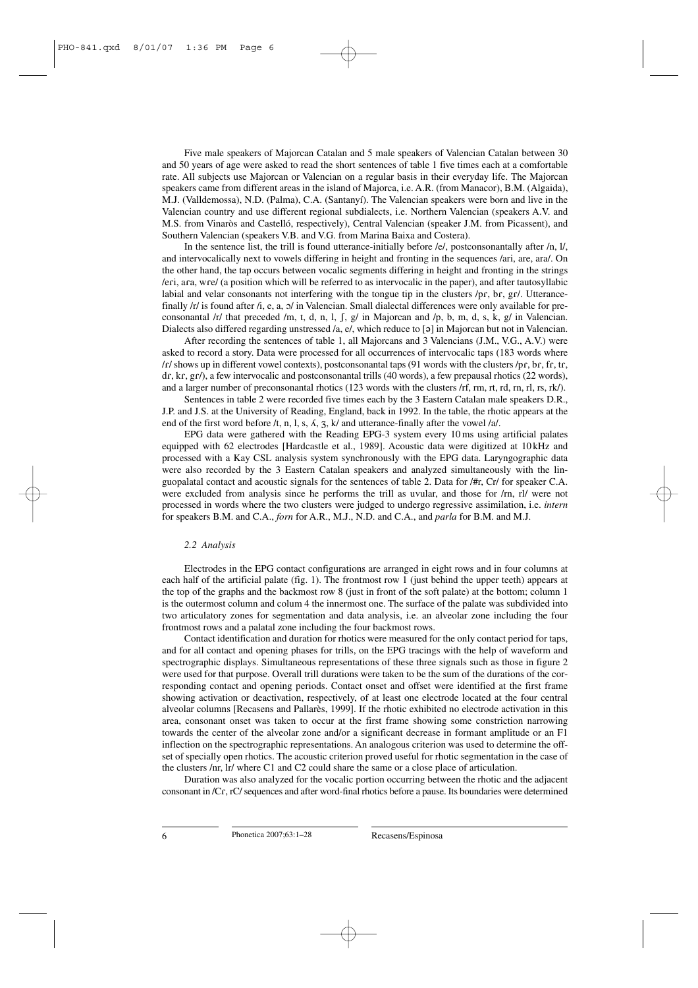Five male speakers of Majorcan Catalan and 5 male speakers of Valencian Catalan between 30 and 50 years of age were asked to read the short sentences of table 1 five times each at a comfortable rate. All subjects use Majorcan or Valencian on a regular basis in their everyday life. The Majorcan speakers came from different areas in the island of Majorca, i.e. A.R. (from Manacor), B.M. (Algaida), M.J. (Valldemossa), N.D. (Palma), C.A. (Santanyí). The Valencian speakers were born and live in the Valencian country and use different regional subdialects, i.e. Northern Valencian (speakers A.V. and M.S. from Vinaròs and Castelló, respectively), Central Valencian (speaker J.M. from Picassent), and Southern Valencian (speakers V.B. and V.G. from Marina Baixa and Costera).

In the sentence list, the trill is found utterance-initially before  $/e/$ , postconsonantally after  $/n$ ,  $1/$ , and intervocalically next to vowels differing in height and fronting in the sequences /ari, are, ara/. On the other hand, the tap occurs between vocalic segments differing in height and fronting in the strings /eɾi, aɾa, wɾe/ (a position which will be referred to as intervocalic in the paper), and after tautosyllabic labial and velar consonants not interfering with the tongue tip in the clusters /pr, br, gr/. Utterancefinally /r/ is found after /i, e, a, ɔ/ in Valencian. Small dialectal differences were only available for preconsonantal /r/ that preceded /m, t, d, n, l, ʃ, g/ in Majorcan and /p, b, m, d, s, k, g/ in Valencian. Dialects also differed regarding unstressed /a, e/, which reduce to [ə] in Majorcan but not in Valencian.

After recording the sentences of table 1, all Majorcans and 3 Valencians (J.M., V.G., A.V.) were asked to record a story. Data were processed for all occurrences of intervocalic taps (183 words where /ɾ/ shows up in different vowel contexts), postconsonantal taps (91 words with the clusters /pɾ, bɾ, fɾ, tɾ, dr, kr, gr/), a few intervocalic and postconsonantal trills (40 words), a few prepausal rhotics (22 words), and a larger number of preconsonantal rhotics (123 words with the clusters /rf, rm, rt, rd, rn, rl, rs, rk/).

Sentences in table 2 were recorded five times each by the 3 Eastern Catalan male speakers D.R., J.P. and J.S. at the University of Reading, England, back in 1992. In the table, the rhotic appears at the end of the first word before  $/t$ , n, l, s,  $\Lambda$ ,  $\overline{3}$ ,  $k/$  and utterance-finally after the vowel  $/al$ .

EPG data were gathered with the Reading EPG-3 system every 10 ms using artificial palates equipped with 62 electrodes [Hardcastle et al., 1989]. Acoustic data were digitized at 10 kHz and processed with a Kay CSL analysis system synchronously with the EPG data. Laryngographic data were also recorded by the 3 Eastern Catalan speakers and analyzed simultaneously with the linguopalatal contact and acoustic signals for the sentences of table 2. Data for /#r, Cr/ for speaker C.A. were excluded from analysis since he performs the trill as uvular, and those for /rn, rl/ were not processed in words where the two clusters were judged to undergo regressive assimilation, i.e. *intern* for speakers B.M. and C.A., *forn* for A.R., M.J., N.D. and C.A., and *parla* for B.M. and M.J.

#### *2.2 Analysis*

Electrodes in the EPG contact configurations are arranged in eight rows and in four columns at each half of the artificial palate (fig. 1). The frontmost row 1 (just behind the upper teeth) appears at the top of the graphs and the backmost row 8 (just in front of the soft palate) at the bottom; column 1 is the outermost column and colum 4 the innermost one. The surface of the palate was subdivided into two articulatory zones for segmentation and data analysis, i.e. an alveolar zone including the four frontmost rows and a palatal zone including the four backmost rows.

Contact identification and duration for rhotics were measured for the only contact period for taps, and for all contact and opening phases for trills, on the EPG tracings with the help of waveform and spectrographic displays. Simultaneous representations of these three signals such as those in figure 2 were used for that purpose. Overall trill durations were taken to be the sum of the durations of the corresponding contact and opening periods. Contact onset and offset were identified at the first frame showing activation or deactivation, respectively, of at least one electrode located at the four central alveolar columns [Recasens and Pallarès, 1999]. If the rhotic exhibited no electrode activation in this area, consonant onset was taken to occur at the first frame showing some constriction narrowing towards the center of the alveolar zone and/or a significant decrease in formant amplitude or an F1 inflection on the spectrographic representations. An analogous criterion was used to determine the offset of specially open rhotics. The acoustic criterion proved useful for rhotic segmentation in the case of the clusters /nr, lr/ where C1 and C2 could share the same or a close place of articulation.

Duration was also analyzed for the vocalic portion occurring between the rhotic and the adjacent consonant in /Cɾ, rC/ sequences and after word-final rhotics before a pause. Its boundaries were determined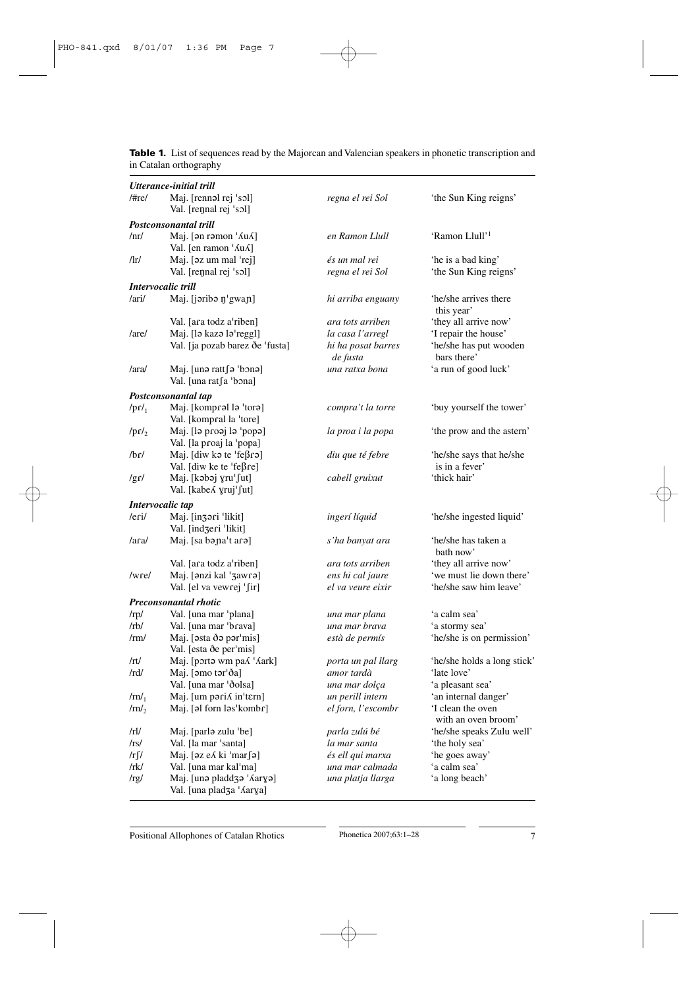|                         | Utterance-initial trill                           |                                      |                                                   |
|-------------------------|---------------------------------------------------|--------------------------------------|---------------------------------------------------|
| /#re/                   | Maj. [rennəl rej 'sol]                            | regna el rei Sol                     | 'the Sun King reigns'                             |
|                         | Val. [rennal rej 'sol]                            |                                      |                                                   |
|                         | Postconsonantal trill                             |                                      |                                                   |
| /nr/                    | Maj. [ $\Theta$ n rəmon ' $\Lambda u \Lambda$ ]   | en Ramon Llull                       | 'Ramon Llull' <sup>1</sup>                        |
|                         | Val. [en ramon 'AuA]                              |                                      |                                                   |
| $\pi$                   | Maj. [az um mal 'rej]                             | és un mal rei                        | 'he is a bad king'                                |
|                         | Val. [rennal rej 'sol]                            | regna el rei Sol                     | 'the Sun King reigns'                             |
|                         | Intervocalic trill                                |                                      |                                                   |
| /ari/                   | Maj. [jəribə ŋ'gwan]                              | hi arriba enguany                    | 'he/she arrives there                             |
|                         |                                                   |                                      | this year'                                        |
|                         | Val. [ara todz a'riben]                           | ara tots arriben                     | 'they all arrive now'                             |
| $/$ are $/$             | Maj. [lə kazə lə'reggl]                           | la casa l'arregl                     | 'I repair the house'                              |
|                         | Val. [ja pozab barez ðe 'fusta]                   | hi ha posat barres                   | 'he/she has put wooden                            |
|                         |                                                   | de fusta                             | bars there'                                       |
| /ara/                   | Maj. [unə ratt∫ə 'bonə]                           | una ratxa bona                       | 'a run of good luck'                              |
|                         | Val. [una rat∫a 'bona]                            |                                      |                                                   |
|                         | Postconsonantal tap                               |                                      |                                                   |
| /pr/1                   | Maj. [komprol lo 'toro]                           | compra't la torre                    | 'buy yourself the tower'                          |
|                         | Val. [kompral la 'tore]                           |                                      |                                                   |
| /pr/2                   | Maj. [lə proəj lə 'popə]                          | la proa i la popa                    | 'the prow and the astern'                         |
|                         | Val. [la proaj la 'popa]                          |                                      |                                                   |
| $\sqrt{b}$              | Maj. [diw kə te 'feβrə]                           | diu que té febre                     | 'he/she says that he/she                          |
|                         | Val. [diw ke te 'fe $\beta$ re]                   |                                      | is in a fever'                                    |
| lgr/                    | Maj. [kəbəj yru'fut]                              | cabell gruixut                       | 'thick hair'                                      |
|                         | Val. [kabe A yruj' fut]                           |                                      |                                                   |
| Intervocalic tap        |                                                   |                                      |                                                   |
| /eri/                   | Maj. [inzari 'likit]                              | ingerí líquid                        | 'he/she ingested liquid'                          |
|                         | Val. [indʒeri 'likit]                             |                                      |                                                   |
| /ara/                   | Maj. [sa bəna't arə]                              | s'ha banyat ara                      | 'he/she has taken a                               |
|                         |                                                   |                                      | bath now'                                         |
| /wre/                   | Val. [ara todz a'riben]<br>Maj. [anzi kal '3awra] | ara tots arriben<br>ens hi cal jaure | 'they all arrive now'<br>'we must lie down there' |
|                         | Val. [el va vewrej 'fir]                          | el va veure eixir                    | 'he/she saw him leave'                            |
|                         |                                                   |                                      |                                                   |
|                         | Preconsonantal rhotic                             |                                      |                                                   |
| /rp/<br>/r <sub>b</sub> | Val. [una mar 'plana]                             | una mar plana<br>una mar brava       | 'a calm sea'                                      |
| /rm/                    | Val. [una mar 'brava]<br>Maj. [əsta ðə pər'mis]   | està de permís                       | 'a stormy sea'<br>'he/she is on permission'       |
|                         | Val. [esta ðe per'mis]                            |                                      |                                                   |
| /rt/                    | Maj. [porto wm pa $\Lambda$ 'Aark]                | porta un pal llarg                   | 'he/she holds a long stick'                       |
| /rd/                    | Maj. [amo tar'ða]                                 | amor tardà                           | 'late love'                                       |
|                         | Val. [una mar 'ðolsa]                             | una mar dolça                        | 'a pleasant sea'                                  |
| $\text{Im}/_{1}$        | Maj. [um pari Ain'tern]                           | un perill intern                     | 'an internal danger'                              |
| $\text{/rn/}_2$         | Maj. [al forn las'kombr]                          | el forn, l'escombr                   | 'I clean the oven                                 |
|                         |                                                   |                                      | with an oven broom'                               |
| $/r$ l/                 | Maj. [parlə zulu 'be]                             | parla zulú bé                        | 'he/she speaks Zulu well'                         |
| /rs/                    | Val. [la mar 'santa]                              | la mar santa                         | 'the holy sea'                                    |
| $/r \int$               | Maj. [az e  ki 'mar∫a]                            | és ell qui marxa                     | 'he goes away'                                    |
| /rk/                    | Val. [una mar kal'ma]                             | una mar calmada                      | 'a calm sea'                                      |
| $\frac{lg}{g}$          | Maj. [unə pladd3ə 'Aaryə]                         | una platja llarga                    | 'a long beach'                                    |
|                         | Val. [una pladza 'Aarya]                          |                                      |                                                   |

**Table 1.** List of sequences read by the Majorcan and Valencian speakers in phonetic transcription and in Catalan orthography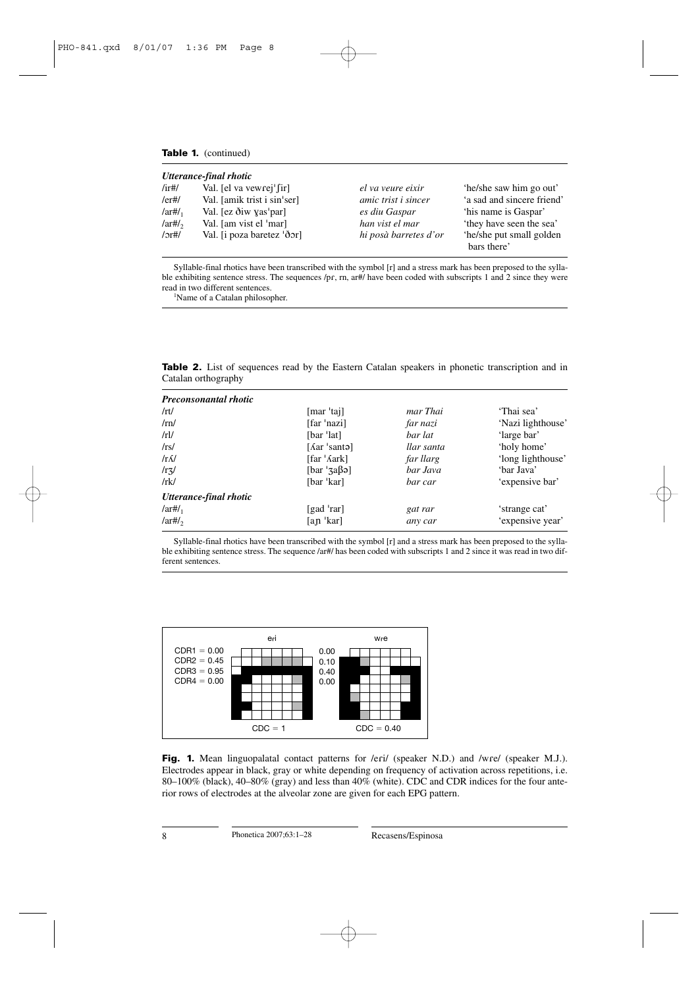### **Table 1.** (continued)

|            | Utterance-final rhotic      |                       |                            |
|------------|-----------------------------|-----------------------|----------------------------|
| /ir#/      | Val. [el va vewrej' fir]    | el va veure eixir     | 'he/she saw him go out'    |
| /er#/      | Val. [amik trist i sin'ser] | amic trist i sincer   | 'a sad and sincere friend' |
| $\ar{H_1}$ | Val. [ez ðiw yas par]       | es diu Gaspar         | 'his name is Gaspar'       |
| $\ar{H}$   | Val. [am vist el 'mar]      | han vist el mar       | 'they have seen the sea'   |
| /dr#/      | Val. [i poza baretez 'ðor]  | hi posà barretes d'or | 'he/she put small golden   |
|            |                             |                       | bars there'                |

Syllable-final rhotics have been transcribed with the symbol [r] and a stress mark has been preposed to the syllable exhibiting sentence stress. The sequences /pr, rn, ar#/ have been coded with subscripts 1 and 2 since they were read in two different sentences.

<sup>1</sup>Name of a Catalan philosopher.

**Table 2.** List of sequences read by the Eastern Catalan speakers in phonetic transcription and in Catalan orthography

| Preconsonantal rhotic     |                                           |            |                   |
|---------------------------|-------------------------------------------|------------|-------------------|
| /rt/                      | [mar 'taj]                                | mar Thai   | 'Thai sea'        |
| /rn/                      | [far 'nazi]                               | far nazi   | 'Nazi lighthouse' |
| /rl/                      | [bar 'lat]                                | bar lat    | 'large bar'       |
| /rs/                      | $\lceil \text{Aar} \rceil$ santa $\lceil$ | llar santa | 'holy home'       |
| /r/                       | [far ' <i>K</i> ark]                      | far llarg  | 'long lighthouse' |
| $\sqrt{r3}$               | [bar $\text{a}$ [3a]                      | bar Java   | 'bar Java'        |
| /rk/                      | [bar 'kar]                                | bar car    | 'expensive bar'   |
| Utterance-final rhotic    |                                           |            |                   |
| $\lambda$ ar# $\lambda_1$ | [gad 'rar]                                | gat rar    | 'strange cat'     |
| $\lambda$ ar# $\lambda$ , | [an 'kar]                                 | any car    | 'expensive year'  |

Syllable-final rhotics have been transcribed with the symbol [r] and a stress mark has been preposed to the syllable exhibiting sentence stress. The sequence /ar#/ has been coded with subscripts 1 and 2 since it was read in two different sentences.



Fig. 1. Mean linguopalatal contact patterns for /eri/ (speaker N.D.) and /wre/ (speaker M.J.). Electrodes appear in black, gray or white depending on frequency of activation across repetitions, i.e. 80–100% (black), 40–80% (gray) and less than 40% (white). CDC and CDR indices for the four anterior rows of electrodes at the alveolar zone are given for each EPG pattern.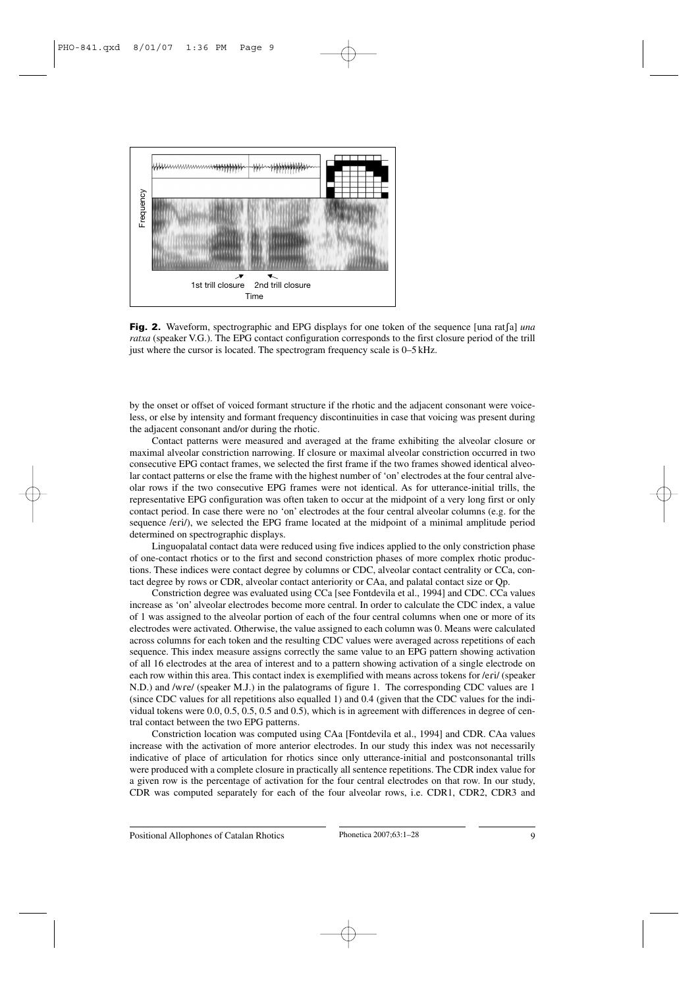

**Fig. 2.** Waveform, spectrographic and EPG displays for one token of the sequence [una ratʃa] *una ratxa* (speaker V.G.). The EPG contact configuration corresponds to the first closure period of the trill just where the cursor is located. The spectrogram frequency scale is 0–5 kHz.

by the onset or offset of voiced formant structure if the rhotic and the adjacent consonant were voiceless, or else by intensity and formant frequency discontinuities in case that voicing was present during the adjacent consonant and/or during the rhotic.

Contact patterns were measured and averaged at the frame exhibiting the alveolar closure or maximal alveolar constriction narrowing. If closure or maximal alveolar constriction occurred in two consecutive EPG contact frames, we selected the first frame if the two frames showed identical alveolar contact patterns or else the frame with the highest number of 'on' electrodes at the four central alveolar rows if the two consecutive EPG frames were not identical. As for utterance-initial trills, the representative EPG configuration was often taken to occur at the midpoint of a very long first or only contact period. In case there were no 'on' electrodes at the four central alveolar columns (e.g. for the sequence /eri/), we selected the EPG frame located at the midpoint of a minimal amplitude period determined on spectrographic displays.

Linguopalatal contact data were reduced using five indices applied to the only constriction phase of one-contact rhotics or to the first and second constriction phases of more complex rhotic productions. These indices were contact degree by columns or CDC, alveolar contact centrality or CCa, contact degree by rows or CDR, alveolar contact anteriority or CAa, and palatal contact size or Qp.

Constriction degree was evaluated using CCa [see Fontdevila et al., 1994] and CDC. CCa values increase as 'on' alveolar electrodes become more central. In order to calculate the CDC index, a value of 1 was assigned to the alveolar portion of each of the four central columns when one or more of its electrodes were activated. Otherwise, the value assigned to each column was 0. Means were calculated across columns for each token and the resulting CDC values were averaged across repetitions of each sequence. This index measure assigns correctly the same value to an EPG pattern showing activation of all 16 electrodes at the area of interest and to a pattern showing activation of a single electrode on each row within this area. This contact index is exemplified with means across tokens for /eɾi/ (speaker N.D.) and /wɾe/ (speaker M.J.) in the palatograms of figure 1. The corresponding CDC values are 1 (since CDC values for all repetitions also equalled 1) and 0.4 (given that the CDC values for the individual tokens were 0.0, 0.5, 0.5, 0.5 and 0.5), which is in agreement with differences in degree of central contact between the two EPG patterns.

Constriction location was computed using CAa [Fontdevila et al., 1994] and CDR. CAa values increase with the activation of more anterior electrodes. In our study this index was not necessarily indicative of place of articulation for rhotics since only utterance-initial and postconsonantal trills were produced with a complete closure in practically all sentence repetitions. The CDR index value for a given row is the percentage of activation for the four central electrodes on that row. In our study, CDR was computed separately for each of the four alveolar rows, i.e. CDR1, CDR2, CDR3 and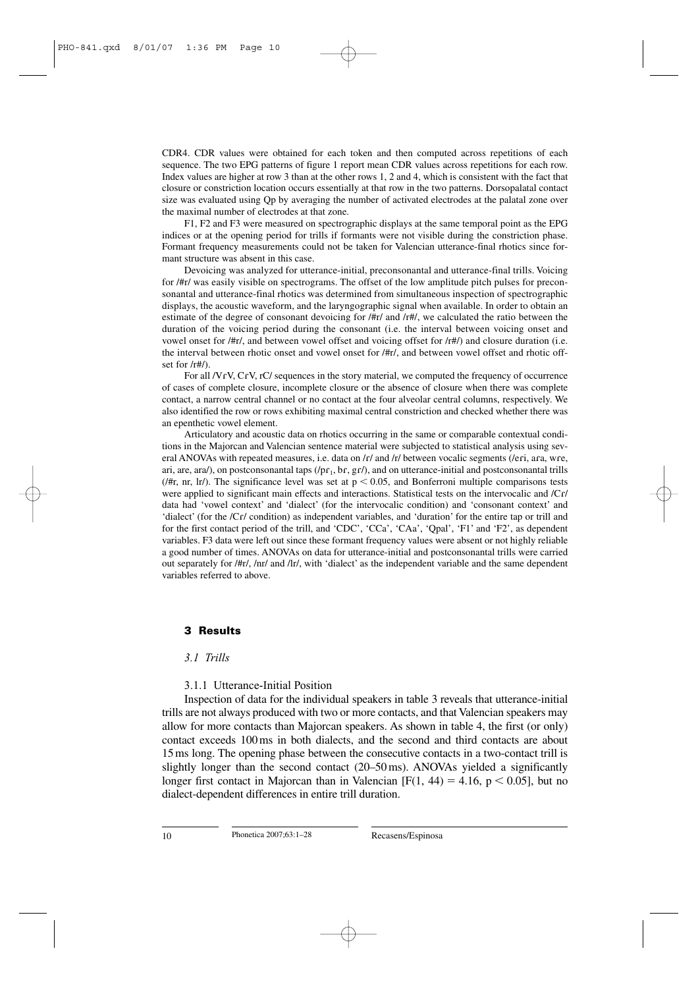CDR4. CDR values were obtained for each token and then computed across repetitions of each sequence. The two EPG patterns of figure 1 report mean CDR values across repetitions for each row. Index values are higher at row 3 than at the other rows 1, 2 and 4, which is consistent with the fact that closure or constriction location occurs essentially at that row in the two patterns. Dorsopalatal contact size was evaluated using Qp by averaging the number of activated electrodes at the palatal zone over the maximal number of electrodes at that zone.

F1, F2 and F3 were measured on spectrographic displays at the same temporal point as the EPG indices or at the opening period for trills if formants were not visible during the constriction phase. Formant frequency measurements could not be taken for Valencian utterance-final rhotics since formant structure was absent in this case.

Devoicing was analyzed for utterance-initial, preconsonantal and utterance-final trills. Voicing for /#r/ was easily visible on spectrograms. The offset of the low amplitude pitch pulses for preconsonantal and utterance-final rhotics was determined from simultaneous inspection of spectrographic displays, the acoustic waveform, and the laryngographic signal when available. In order to obtain an estimate of the degree of consonant devoicing for /#r/ and /r#/, we calculated the ratio between the duration of the voicing period during the consonant (i.e. the interval between voicing onset and vowel onset for /#r/, and between vowel offset and voicing offset for /r#/) and closure duration (i.e. the interval between rhotic onset and vowel onset for /#r/, and between vowel offset and rhotic offset for /r#/).

For all /VrV, CrV, rC/ sequences in the story material, we computed the frequency of occurrence of cases of complete closure, incomplete closure or the absence of closure when there was complete contact, a narrow central channel or no contact at the four alveolar central columns, respectively. We also identified the row or rows exhibiting maximal central constriction and checked whether there was an epenthetic vowel element.

Articulatory and acoustic data on rhotics occurring in the same or comparable contextual conditions in the Majorcan and Valencian sentence material were subjected to statistical analysis using several ANOVAs with repeated measures, i.e. data on /r/ and /r/ between vocalic segments (/eri, ara, wre, ari, are, ara/), on postconsonantal taps  $(\rho \nabla_1, \rho \nabla_2, \rho \nabla_3)$ , and on utterance-initial and postconsonantal trills (/#r, nr, lr/). The significance level was set at  $p < 0.05$ , and Bonferroni multiple comparisons tests were applied to significant main effects and interactions. Statistical tests on the intervocalic and /Cr/ data had 'vowel context' and 'dialect' (for the intervocalic condition) and 'consonant context' and 'dialect' (for the /Cɾ/ condition) as independent variables, and 'duration' for the entire tap or trill and for the first contact period of the trill, and 'CDC', 'CCa', 'CAa', 'Qpal', 'F1' and 'F2', as dependent variables. F3 data were left out since these formant frequency values were absent or not highly reliable a good number of times. ANOVAs on data for utterance-initial and postconsonantal trills were carried out separately for /#r/, /nr/ and /lr/, with 'dialect' as the independent variable and the same dependent variables referred to above.

#### **3 Results**

#### *3.1 Trills*

### 3.1.1 Utterance-Initial Position

Inspection of data for the individual speakers in table 3 reveals that utterance-initial trills are not always produced with two or more contacts, and that Valencian speakers may allow for more contacts than Majorcan speakers. As shown in table 4, the first (or only) contact exceeds 100 ms in both dialects, and the second and third contacts are about 15 ms long. The opening phase between the consecutive contacts in a two-contact trill is slightly longer than the second contact (20–50 ms). ANOVAs yielded a significantly longer first contact in Majorcan than in Valencian  $[F(1, 44) = 4.16, p < 0.05]$ , but no dialect-dependent differences in entire trill duration.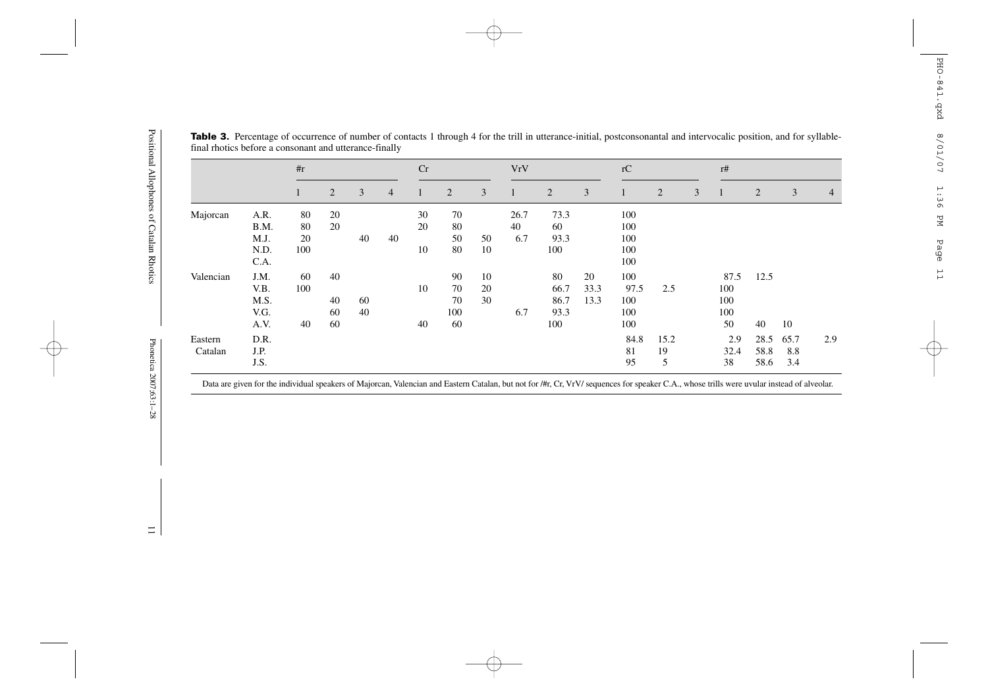| Majorcan  |              | $\mathbf{1}$ |    |                |                | Cr |                |               | <b>VrV</b> |      |                | $\mathrm{r}\mathrm{C}$ |                |   | r#           |                |                |     |
|-----------|--------------|--------------|----|----------------|----------------|----|----------------|---------------|------------|------|----------------|------------------------|----------------|---|--------------|----------------|----------------|-----|
|           |              |              | 2  | $\overline{3}$ | $\overline{4}$ |    | $\overline{2}$ | $\mathfrak z$ | 1          | 2    | $\mathfrak{Z}$ | $\mathbf{1}$           | $\overline{2}$ | 3 | $\mathbf{1}$ | $\overline{2}$ | $\mathfrak{Z}$ |     |
|           | A.R.         | 80           | 20 |                |                | 30 | 70             |               | 26.7       | 73.3 |                | 100                    |                |   |              |                |                |     |
|           | B.M.         | 80           | 20 |                |                | 20 | 80             |               | 40         | 60   |                | 100                    |                |   |              |                |                |     |
|           | M.J.         | 20           |    | 40             | 40             |    | 50<br>80       | 50            | 6.7        | 93.3 |                | 100                    |                |   |              |                |                |     |
|           | N.D.<br>C.A. | 100          |    |                |                | 10 |                | 10            |            | 100  |                | 100<br>100             |                |   |              |                |                |     |
| Valencian | J.M.         | 60           | 40 |                |                |    | 90             | 10            |            | 80   | 20             | 100                    |                |   | 87.5         | 12.5           |                |     |
|           | V.B.         | 100          |    |                |                | 10 | 70             | $20\,$        |            | 66.7 | 33.3           | 97.5                   | 2.5            |   | 100          |                |                |     |
|           | M.S.         |              | 40 | 60             |                |    | 70             | 30            |            | 86.7 | 13.3           | 100                    |                |   | 100          |                |                |     |
|           | V.G.         |              | 60 | 40             |                |    | 100            |               | 6.7        | 93.3 |                | 100                    |                |   | 100          |                |                |     |
|           | A.V.         | 40           | 60 |                |                | 40 | 60             |               |            | 100  |                | 100                    |                |   | 50           | 40             | 10             |     |
| Eastern   | D.R.         |              |    |                |                |    |                |               |            |      |                | 84.8                   | 15.2           |   | 2.9          | 28.5           | 65.7           | 2.9 |
| Catalan   | J.P.         |              |    |                |                |    |                |               |            |      |                | $81\,$                 | 19             |   | 32.4         | 58.8           | $8.8\,$        |     |
|           | J.S.         |              |    |                |                |    |                |               |            |      |                | 95                     | 5              |   | 38           | 58.6           | 3.4            |     |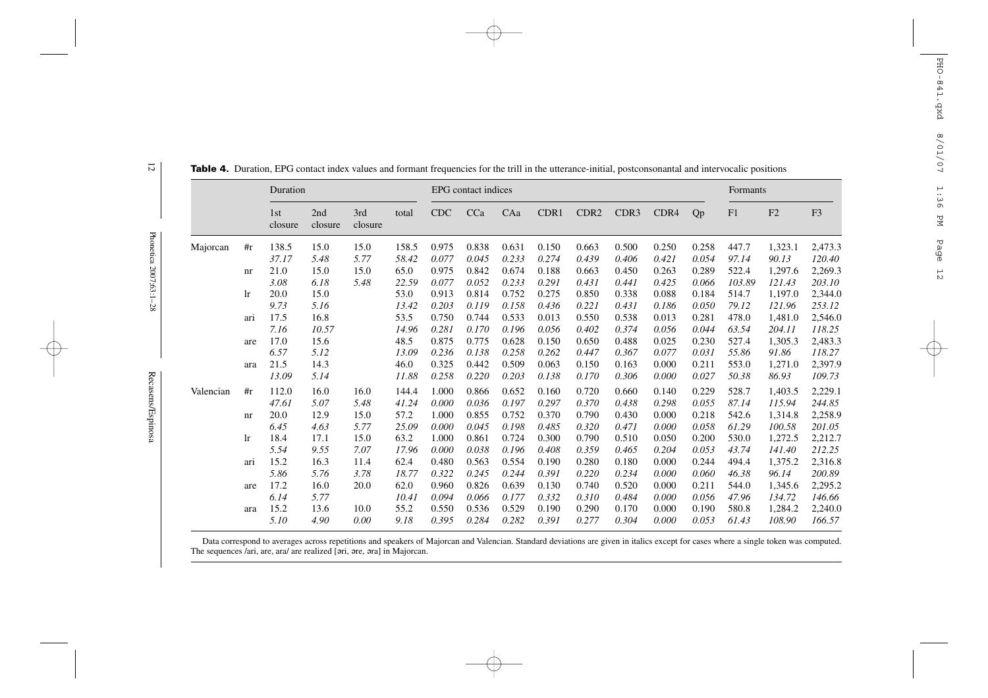|           |       | Duration       |                |                |       |            | EPG contact indices |       |       | Formants         |                  |                  |           |        |                |                |
|-----------|-------|----------------|----------------|----------------|-------|------------|---------------------|-------|-------|------------------|------------------|------------------|-----------|--------|----------------|----------------|
|           |       | 1st<br>closure | 2nd<br>closure | 3rd<br>closure | total | <b>CDC</b> | CCa                 | CAa   | CDR1  | CDR <sub>2</sub> | CDR <sub>3</sub> | CDR <sub>4</sub> | <b>Qp</b> | F1     | F <sub>2</sub> | F <sub>3</sub> |
| Majorcan  | $\#r$ | 138.5          | 15.0           | 15.0           | 158.5 | 0.975      | 0.838               | 0.631 | 0.150 | 0.663            | 0.500            | 0.250            | 0.258     | 447.7  | 1,323.1        | 2,473.3        |
|           |       | 37.17          | 5.48           | 5.77           | 58.42 | 0.077      | 0.045               | 0.233 | 0.274 | 0.439            | 0.406            | 0.421            | 0.054     | 97.14  | 90.13          | 120.40         |
|           | nr    | 21.0           | 15.0           | 15.0           | 65.0  | 0.975      | 0.842               | 0.674 | 0.188 | 0.663            | 0.450            | 0.263            | 0.289     | 522.4  | 1,297.6        | 2,269.3        |
|           |       | 3.08           | 6.18           | 5.48           | 22.59 | 0.077      | 0.052               | 0.233 | 0.291 | 0.431            | 0.441            | 0.425            | 0.066     | 103.89 | 121.43         | 203.10         |
|           | lr    | 20.0           | 15.0           |                | 53.0  | 0.913      | 0.814               | 0.752 | 0.275 | 0.850            | 0.338            | 0.088            | 0.184     | 514.7  | 1,197.0        | 2,344.0        |
|           |       | 9.73           | 5.16           |                | 13.42 | 0.203      | 0.119               | 0.158 | 0.436 | 0.221            | 0.431            | 0.186            | 0.050     | 79.12  | 121.96         | 253.12         |
|           | ari   | 17.5           | 16.8           |                | 53.5  | 0.750      | 0.744               | 0.533 | 0.013 | 0.550            | 0.538            | 0.013            | 0.281     | 478.0  | 1,481.0        | 2,546.0        |
|           |       | 7.16           | 10.57          |                | 14.96 | 0.281      | 0.170               | 0.196 | 0.056 | 0.402            | 0.374            | 0.056            | 0.044     | 63.54  | 204.11         | 118.25         |
|           | are   | 17.0           | 15.6           |                | 48.5  | 0.875      | 0.775               | 0.628 | 0.150 | 0.650            | 0.488            | 0.025            | 0.230     | 527.4  | 1,305.3        | 2,483.3        |
|           |       | 6.57           | 5.12           |                | 13.09 | 0.236      | 0.138               | 0.258 | 0.262 | 0.447            | 0.367            | 0.077            | 0.031     | 55.86  | 91.86          | 118.27         |
|           | ara   | 21.5           | 14.3           |                | 46.0  | 0.325      | 0.442               | 0.509 | 0.063 | 0.150            | 0.163            | 0.000            | 0.211     | 553.0  | 1,271.0        | 2,397.9        |
|           |       | 13.09          | 5.14           |                | 11.88 | 0.258      | 0.220               | 0.203 | 0.138 | 0.170            | 0.306            | 0.000            | 0.027     | 50.38  | 86.93          | 109.73         |
| Valencian | #r    | 112.0          | 16.0           | 16.0           | 144.4 | 1.000      | 0.866               | 0.652 | 0.160 | 0.720            | 0.660            | 0.140            | 0.229     | 528.7  | 1,403.5        | 2,229.1        |
|           |       | 47.61          | 5.07           | 5.48           | 41.24 | 0.000      | 0.036               | 0.197 | 0.297 | 0.370            | 0.438            | 0.298            | 0.055     | 87.14  | 115.94         | 244.85         |
|           | nr    | 20.0           | 12.9           | 15.0           | 57.2  | 1.000      | 0.855               | 0.752 | 0.370 | 0.790            | 0.430            | 0.000            | 0.218     | 542.6  | 1,314.8        | 2,258.9        |
|           |       | 6.45           | 4.63           | 5.77           | 25.09 | 0.000      | 0.045               | 0.198 | 0.485 | 0.320            | 0.471            | 0.000            | 0.058     | 61.29  | 100.58         | 201.05         |
|           | lr    | 18.4           | 17.1           | 15.0           | 63.2  | 1.000      | 0.861               | 0.724 | 0.300 | 0.790            | 0.510            | 0.050            | 0.200     | 530.0  | 1,272.5        | 2,212.7        |
|           |       | 5.54           | 9.55           | 7.07           | 17.96 | 0.000      | 0.038               | 0.196 | 0.408 | 0.359            | 0.465            | 0.204            | 0.053     | 43.74  | 141.40         | 212.25         |
|           | ari   | 15.2           | 16.3           | 11.4           | 62.4  | 0.480      | 0.563               | 0.554 | 0.190 | 0.280            | 0.180            | 0.000            | 0.244     | 494.4  | 1,375.2        | 2,316.8        |
|           |       | 5.86           | 5.76           | 3.78           | 18.77 | 0.322      | 0.245               | 0.244 | 0.391 | 0.220            | 0.234            | 0.000            | 0.060     | 46.38  | 96.14          | 200.89         |
|           | are   | 17.2           | 16.0           | 20.0           | 62.0  | 0.960      | 0.826               | 0.639 | 0.130 | 0.740            | 0.520            | 0.000            | 0.211     | 544.0  | 1,345.6        | 2,295.2        |
|           |       | 6.14           | 5.77           |                | 10.41 | 0.094      | 0.066               | 0.177 | 0.332 | 0.310            | 0.484            | 0.000            | 0.056     | 47.96  | 134.72         | 146.66         |
|           | ara   | 15.2           | 13.6           | 10.0           | 55.2  | 0.550      | 0.536               | 0.529 | 0.190 | 0.290            | 0.170            | 0.000            | 0.190     | 580.8  | 1,284.2        | 2,240.0        |
|           |       | 5.10           | 4.90           | 0.00           | 9.18  | 0.395      | 0.284               | 0.282 | 0.391 | 0.277            | 0.304            | 0.000            | 0.053     | 61.43  | 108.90         | 166.57         |

Data correspond to averages across repetitions and speakers of Majorcan and Valencian. Standard deviations are given in italics except for cases where a single token was computed. The sequences /ari, are, ara/ are realized [əri, <sup>ə</sup>re, <sup>ə</sup>ra] in Majorcan.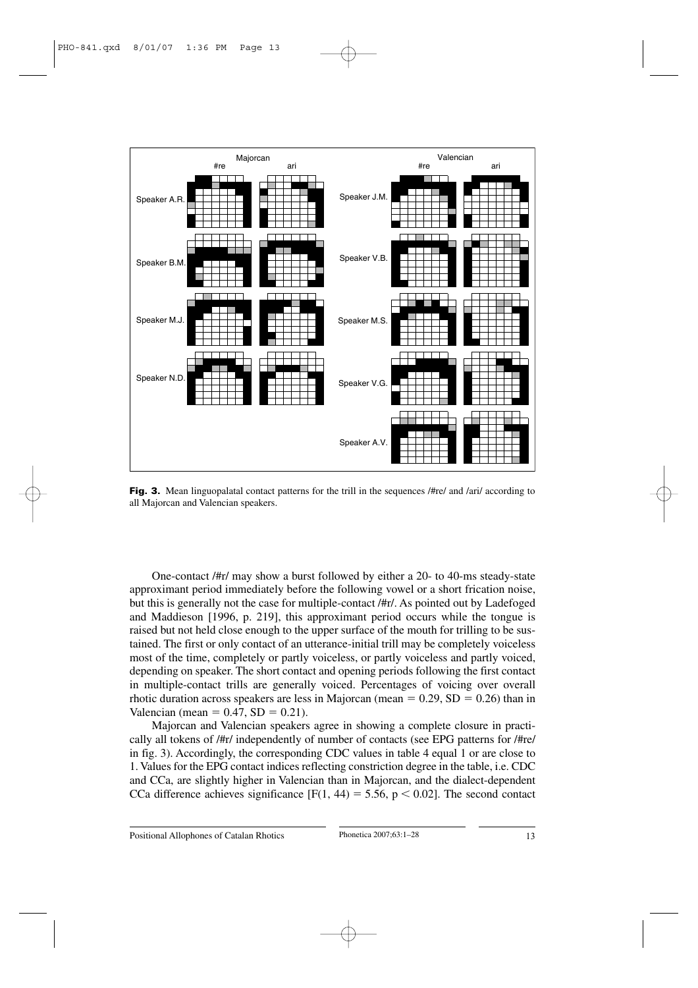

**Fig. 3.** Mean linguopalatal contact patterns for the trill in the sequences /#re/ and /ari/ according to all Majorcan and Valencian speakers.

One-contact /#r/ may show a burst followed by either a 20- to 40-ms steady-state approximant period immediately before the following vowel or a short frication noise, but this is generally not the case for multiple-contact /#r/. As pointed out by Ladefoged and Maddieson [1996, p. 219], this approximant period occurs while the tongue is raised but not held close enough to the upper surface of the mouth for trilling to be sustained. The first or only contact of an utterance-initial trill may be completely voiceless most of the time, completely or partly voiceless, or partly voiceless and partly voiced, depending on speaker. The short contact and opening periods following the first contact in multiple-contact trills are generally voiced. Percentages of voicing over overall rhotic duration across speakers are less in Majorcan (mean  $= 0.29$ , SD  $= 0.26$ ) than in Valencian (mean =  $0.47$ , SD =  $0.21$ ).

Majorcan and Valencian speakers agree in showing a complete closure in practically all tokens of /#r/ independently of number of contacts (see EPG patterns for /#re/ in fig. 3). Accordingly, the corresponding CDC values in table 4 equal 1 or are close to 1. Values for the EPG contact indices reflecting constriction degree in the table, i.e. CDC and CCa, are slightly higher in Valencian than in Majorcan, and the dialect-dependent CCa difference achieves significance [F(1, 44) = 5.56, p < 0.02]. The second contact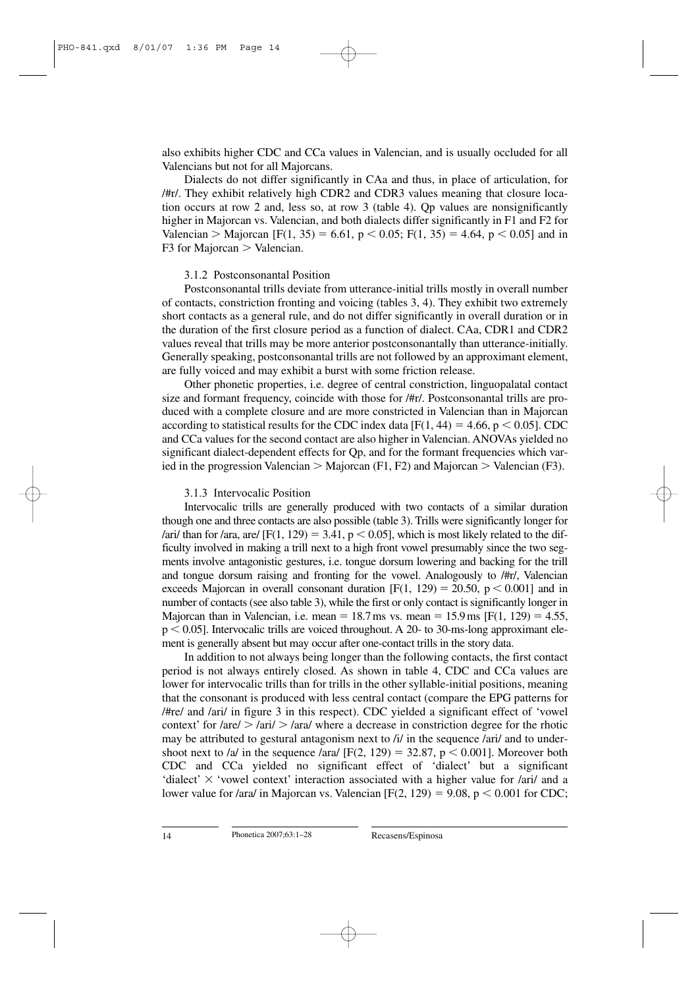also exhibits higher CDC and CCa values in Valencian, and is usually occluded for all Valencians but not for all Majorcans.

Dialects do not differ significantly in CAa and thus, in place of articulation, for /#r/. They exhibit relatively high CDR2 and CDR3 values meaning that closure location occurs at row 2 and, less so, at row 3 (table 4). Qp values are nonsignificantly higher in Majorcan vs. Valencian, and both dialects differ significantly in F1 and F2 for Valencian > Majorcan [F(1, 35) = 6.61, p < 0.05; F(1, 35) = 4.64, p < 0.05] and in F3 for Majorcan  $>$  Valencian.

### 3.1.2 Postconsonantal Position

Postconsonantal trills deviate from utterance-initial trills mostly in overall number of contacts, constriction fronting and voicing (tables 3, 4). They exhibit two extremely short contacts as a general rule, and do not differ significantly in overall duration or in the duration of the first closure period as a function of dialect. CAa, CDR1 and CDR2 values reveal that trills may be more anterior postconsonantally than utterance-initially. Generally speaking, postconsonantal trills are not followed by an approximant element, are fully voiced and may exhibit a burst with some friction release.

Other phonetic properties, i.e. degree of central constriction, linguopalatal contact size and formant frequency, coincide with those for /#r/. Postconsonantal trills are produced with a complete closure and are more constricted in Valencian than in Majorcan according to statistical results for the CDC index data  $[F(1, 44) = 4.66, p < 0.05]$ . CDC and CCa values for the second contact are also higher in Valencian. ANOVAs yielded no significant dialect-dependent effects for Qp, and for the formant frequencies which varied in the progression Valencian  $>$  Majorcan (F1, F2) and Majorcan  $>$  Valencian (F3).

#### 3.1.3 Intervocalic Position

Intervocalic trills are generally produced with two contacts of a similar duration though one and three contacts are also possible (table 3). Trills were significantly longer for /ari/ than for /ara, are/  $[F(1, 129) = 3.41, p < 0.05]$ , which is most likely related to the difficulty involved in making a trill next to a high front vowel presumably since the two segments involve antagonistic gestures, i.e. tongue dorsum lowering and backing for the trill and tongue dorsum raising and fronting for the vowel. Analogously to /#r/, Valencian exceeds Majorcan in overall consonant duration  $[F(1, 129) = 20.50, p < 0.001]$  and in number of contacts (see also table 3), while the first or only contact is significantly longer in Majorcan than in Valencian, i.e. mean =  $18.7 \text{ ms}$  vs. mean =  $15.9 \text{ ms}$  [F(1, 129) = 4.55,  $p < 0.05$ ]. Intervocalic trills are voiced throughout. A 20- to 30-ms-long approximant element is generally absent but may occur after one-contact trills in the story data.

In addition to not always being longer than the following contacts, the first contact period is not always entirely closed. As shown in table 4, CDC and CCa values are lower for intervocalic trills than for trills in the other syllable-initial positions, meaning that the consonant is produced with less central contact (compare the EPG patterns for /#re/ and /ari/ in figure 3 in this respect). CDC yielded a significant effect of 'vowel context' for /are/  $>$  /ari/  $>$  /ara/ where a decrease in constriction degree for the rhotic may be attributed to gestural antagonism next to  $\frac{di}{dt}$  in the sequence  $\frac{d}{dt}$  and to undershoot next to /a/ in the sequence /ara/  $[F(2, 129) = 32.87, p < 0.001]$ . Moreover both CDC and CCa yielded no significant effect of 'dialect' but a significant 'dialect'  $\times$  'vowel context' interaction associated with a higher value for /ari/ and a lower value for /ara/ in Majorcan vs. Valencian  $[F(2, 129) = 9.08, p < 0.001$  for CDC;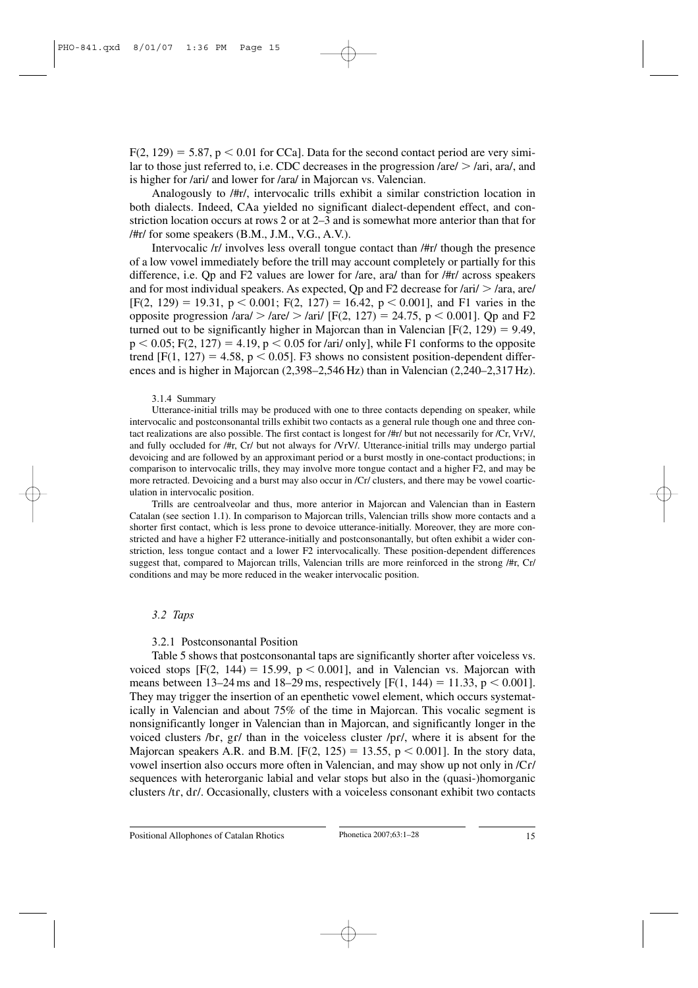$F(2, 129) = 5.87$ ,  $p < 0.01$  for CCa]. Data for the second contact period are very similar to those just referred to, i.e. CDC decreases in the progression /are/  $>$  /ari, ara/, and is higher for /ari/ and lower for /ara/ in Majorcan vs. Valencian.

Analogously to /#r/, intervocalic trills exhibit a similar constriction location in both dialects. Indeed, CAa yielded no significant dialect-dependent effect, and constriction location occurs at rows 2 or at 2–3 and is somewhat more anterior than that for /#r/ for some speakers (B.M., J.M., V.G., A.V.).

Intervocalic /r/ involves less overall tongue contact than /#r/ though the presence of a low vowel immediately before the trill may account completely or partially for this difference, i.e. Qp and F2 values are lower for /are, ara/ than for /#r/ across speakers and for most individual speakers. As expected, Qp and F2 decrease for /ari/  $>$  /ara, are/  $[F(2, 129) = 19.31, p < 0.001; F(2, 127) = 16.42, p < 0.001$ , and F1 varies in the opposite progression /ara/ > /are/ > /ari/  $[F(2, 127) = 24.75, p < 0.001]$ . Qp and F2 turned out to be significantly higher in Majorcan than in Valencian  $[F(2, 129) = 9.49]$ ,  $p < 0.05$ ; F(2, 127) = 4.19,  $p < 0.05$  for /ari/ only], while F1 conforms to the opposite trend  $[F(1, 127) = 4.58, p < 0.05]$ . F3 shows no consistent position-dependent differences and is higher in Majorcan (2,398–2,546 Hz) than in Valencian (2,240–2,317 Hz).

#### 3.1.4 Summary

Utterance-initial trills may be produced with one to three contacts depending on speaker, while intervocalic and postconsonantal trills exhibit two contacts as a general rule though one and three contact realizations are also possible. The first contact is longest for /#r/ but not necessarily for /Cr, VrV/, and fully occluded for /#r, Cr/ but not always for /VrV/. Utterance-initial trills may undergo partial devoicing and are followed by an approximant period or a burst mostly in one-contact productions; in comparison to intervocalic trills, they may involve more tongue contact and a higher F2, and may be more retracted. Devoicing and a burst may also occur in /Cr/ clusters, and there may be vowel coarticulation in intervocalic position.

Trills are centroalveolar and thus, more anterior in Majorcan and Valencian than in Eastern Catalan (see section 1.1). In comparison to Majorcan trills, Valencian trills show more contacts and a shorter first contact, which is less prone to devoice utterance-initially. Moreover, they are more constricted and have a higher F2 utterance-initially and postconsonantally, but often exhibit a wider constriction, less tongue contact and a lower F2 intervocalically. These position-dependent differences suggest that, compared to Majorcan trills, Valencian trills are more reinforced in the strong /#r, Cr/ conditions and may be more reduced in the weaker intervocalic position.

### *3.2 Taps*

### 3.2.1 Postconsonantal Position

Table 5 shows that postconsonantal taps are significantly shorter after voiceless vs. voiced stops  $[F(2, 144) = 15.99, p < 0.001]$ , and in Valencian vs. Majorcan with means between  $13-24$  ms and  $18-29$  ms, respectively [F(1, 144) = 11.33, p < 0.001]. They may trigger the insertion of an epenthetic vowel element, which occurs systematically in Valencian and about 75% of the time in Majorcan. This vocalic segment is nonsignificantly longer in Valencian than in Majorcan, and significantly longer in the voiced clusters /br, gr/ than in the voiceless cluster /pr/, where it is absent for the Majorcan speakers A.R. and B.M.  $[F(2, 125) = 13.55, p < 0.001]$ . In the story data, vowel insertion also occurs more often in Valencian, and may show up not only in /Cɾ/ sequences with heterorganic labial and velar stops but also in the (quasi-)homorganic clusters /tɾ, dɾ/. Occasionally, clusters with a voiceless consonant exhibit two contacts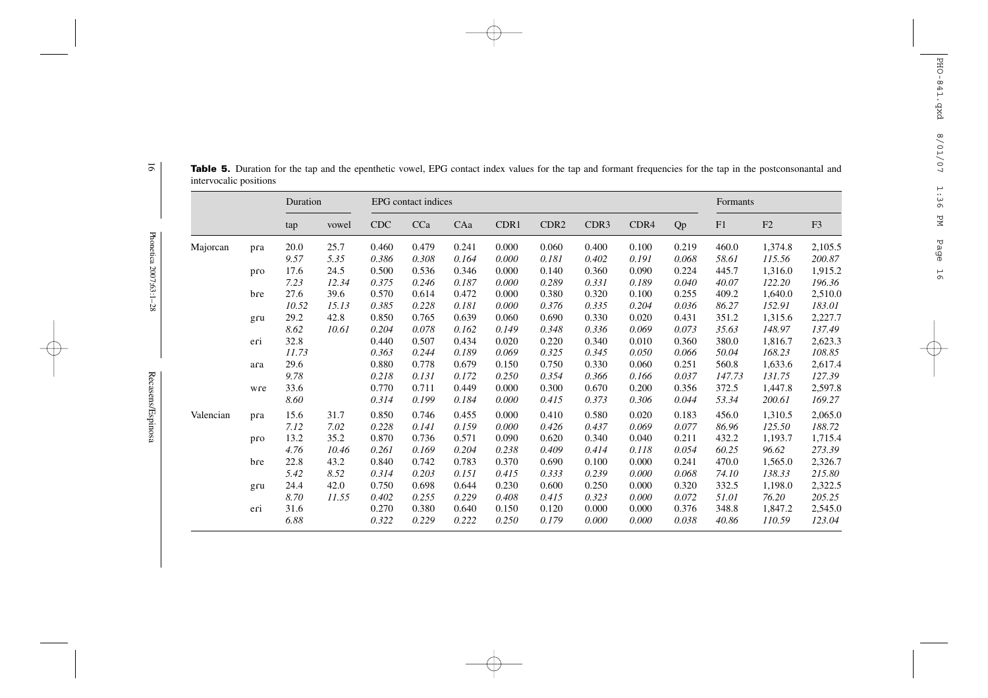|           |     | Duration |       |       | EPG contact indices |       |       |                  |                  |       |           | Formants |         |                |
|-----------|-----|----------|-------|-------|---------------------|-------|-------|------------------|------------------|-------|-----------|----------|---------|----------------|
|           |     | tap      | vowel | CDC   | CCa                 | CAa   | CDR1  | CDR <sub>2</sub> | CDR <sub>3</sub> | CDR4  | <b>Qp</b> | F1       | F2      | F <sub>3</sub> |
| Majorcan  | pra | 20.0     | 25.7  | 0.460 | 0.479               | 0.241 | 0.000 | 0.060            | 0.400            | 0.100 | 0.219     | 460.0    | 1,374.8 | 2,105.5        |
|           |     | 9.57     | 5.35  | 0.386 | 0.308               | 0.164 | 0.000 | 0.181            | 0.402            | 0.191 | 0.068     | 58.61    | 115.56  | 200.87         |
|           | pro | 17.6     | 24.5  | 0.500 | 0.536               | 0.346 | 0.000 | 0.140            | 0.360            | 0.090 | 0.224     | 445.7    | 1,316.0 | 1,915.2        |
|           |     | 7.23     | 12.34 | 0.375 | 0.246               | 0.187 | 0.000 | 0.289            | 0.331            | 0.189 | 0.040     | 40.07    | 122.20  | 196.36         |
|           | bre | 27.6     | 39.6  | 0.570 | 0.614               | 0.472 | 0.000 | 0.380            | 0.320            | 0.100 | 0.255     | 409.2    | 1,640.0 | 2,510.0        |
|           |     | 10.52    | 15.13 | 0.385 | 0.228               | 0.181 | 0.000 | 0.376            | 0.335            | 0.204 | 0.036     | 86.27    | 152.91  | 183.01         |
|           | gru | 29.2     | 42.8  | 0.850 | 0.765               | 0.639 | 0.060 | 0.690            | 0.330            | 0.020 | 0.431     | 351.2    | 1,315.6 | 2,227.7        |
|           |     | 8.62     | 10.61 | 0.204 | 0.078               | 0.162 | 0.149 | 0.348            | 0.336            | 0.069 | 0.073     | 35.63    | 148.97  | 137.49         |
|           | eri | 32.8     |       | 0.440 | 0.507               | 0.434 | 0.020 | 0.220            | 0.340            | 0.010 | 0.360     | 380.0    | 1,816.7 | 2,623.3        |
|           |     | 11.73    |       | 0.363 | 0.244               | 0.189 | 0.069 | 0.325            | 0.345            | 0.050 | 0.066     | 50.04    | 168.23  | 108.85         |
|           | ara | 29.6     |       | 0.880 | 0.778               | 0.679 | 0.150 | 0.750            | 0.330            | 0.060 | 0.251     | 560.8    | 1,633.6 | 2,617.4        |
|           |     | 9.78     |       | 0.218 | 0.131               | 0.172 | 0.250 | 0.354            | 0.366            | 0.166 | 0.037     | 147.73   | 131.75  | 127.39         |
|           | wre | 33.6     |       | 0.770 | 0.711               | 0.449 | 0.000 | 0.300            | 0.670            | 0.200 | 0.356     | 372.5    | 1,447.8 | 2,597.8        |
|           |     | 8.60     |       | 0.314 | 0.199               | 0.184 | 0.000 | 0.415            | 0.373            | 0.306 | 0.044     | 53.34    | 200.61  | 169.27         |
| Valencian | pra | 15.6     | 31.7  | 0.850 | 0.746               | 0.455 | 0.000 | 0.410            | 0.580            | 0.020 | 0.183     | 456.0    | 1,310.5 | 2,065.0        |
|           |     | 7.12     | 7.02  | 0.228 | 0.141               | 0.159 | 0.000 | 0.426            | 0.437            | 0.069 | 0.077     | 86.96    | 125.50  | 188.72         |
|           | pro | 13.2     | 35.2  | 0.870 | 0.736               | 0.571 | 0.090 | 0.620            | 0.340            | 0.040 | 0.211     | 432.2    | 1,193.7 | 1,715.4        |
|           |     | 4.76     | 10.46 | 0.261 | 0.169               | 0.204 | 0.238 | 0.409            | 0.414            | 0.118 | 0.054     | 60.25    | 96.62   | 273.39         |
|           | bre | 22.8     | 43.2  | 0.840 | 0.742               | 0.783 | 0.370 | 0.690            | 0.100            | 0.000 | 0.241     | 470.0    | 1,565.0 | 2,326.7        |
|           |     | 5.42     | 8.52  | 0.314 | 0.203               | 0.151 | 0.415 | 0.333            | 0.239            | 0.000 | 0.068     | 74.10    | 138.33  | 215.80         |
|           | gru | 24.4     | 42.0  | 0.750 | 0.698               | 0.644 | 0.230 | 0.600            | 0.250            | 0.000 | 0.320     | 332.5    | 1,198.0 | 2,322.5        |
|           |     | 8.70     | 11.55 | 0.402 | 0.255               | 0.229 | 0.408 | 0.415            | 0.323            | 0.000 | 0.072     | 51.01    | 76.20   | 205.25         |
|           | eri | 31.6     |       | 0.270 | 0.380               | 0.640 | 0.150 | 0.120            | 0.000            | 0.000 | 0.376     | 348.8    | 1,847.2 | 2,545.0        |
|           |     | 6.88     |       | 0.322 | 0.229               | 0.222 | 0.250 | 0.179            | 0.000            | 0.000 | 0.038     | 40.86    | 110.59  | 123.04         |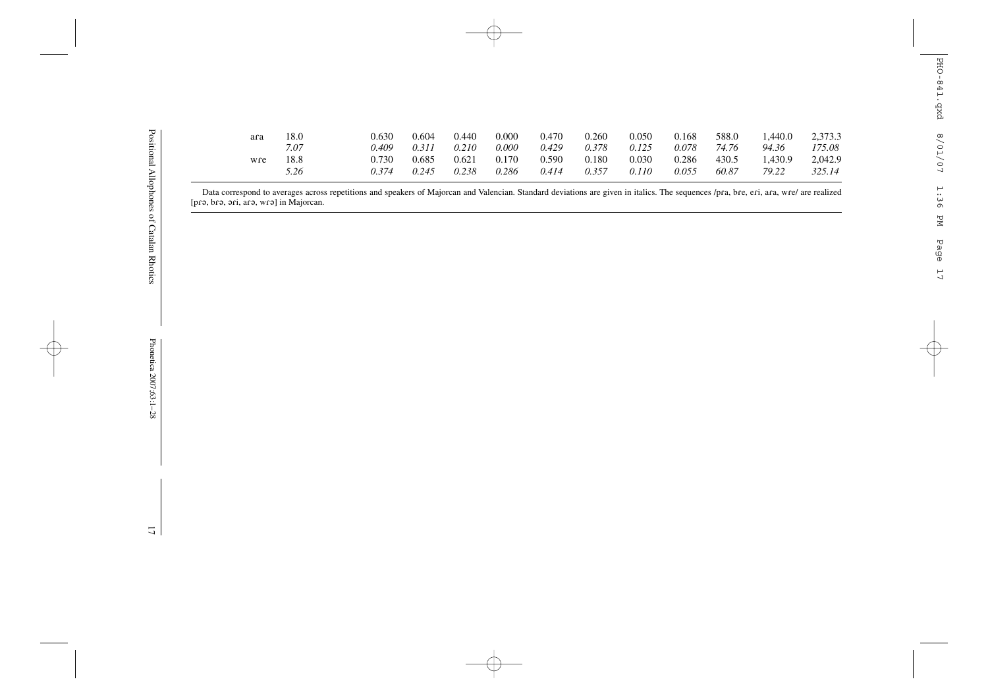|                                          | ara                                                                                                                                                                                                                             | 18.0 | 0.630 | 0.604 | 0.440 | 0.000     | 0.470 | 0.260 | 0.050 | 0.168 | 588.0 | 1,440.0 | 2,373.3 |
|------------------------------------------|---------------------------------------------------------------------------------------------------------------------------------------------------------------------------------------------------------------------------------|------|-------|-------|-------|-----------|-------|-------|-------|-------|-------|---------|---------|
|                                          |                                                                                                                                                                                                                                 | 7.07 | 0.409 | 0.311 | 0.210 | 0.000     | 0.429 | 0.378 | 0.125 | 0.078 | 74.76 | 94.36   | 175.08  |
|                                          | wre                                                                                                                                                                                                                             | 18.8 | 0.730 | 0.685 | 0.621 | 0.170     | 0.590 | 0.180 | 0.030 | 0.286 | 430.5 | 1,430.9 | 2,042.9 |
|                                          |                                                                                                                                                                                                                                 | 5.26 | 0.374 | 0.245 | 0.238 | $0.286\,$ | 0.414 | 0.357 | 0.110 | 0.055 | 60.87 | 79.22   | 325.14  |
| Positional Allophones of Catalan Rhotics | Data correspond to averages across repetitions and speakers of Majorcan and Valencian. Standard deviations are given in italics. The sequences /pra, bre, eri, ara, wre/ are realized<br>[pro, bro, ori, aro, wro] in Majorcan. |      |       |       |       |           |       |       |       |       |       |         |         |
|                                          |                                                                                                                                                                                                                                 |      |       |       |       |           |       |       |       |       |       |         |         |
|                                          |                                                                                                                                                                                                                                 |      |       |       |       |           |       |       |       |       |       |         |         |
|                                          |                                                                                                                                                                                                                                 |      |       |       |       |           |       |       |       |       |       |         |         |
|                                          |                                                                                                                                                                                                                                 |      |       |       |       |           |       |       |       |       |       |         |         |
| Phonetica 2007;63:1-28                   |                                                                                                                                                                                                                                 |      |       |       |       |           |       |       |       |       |       |         |         |
|                                          |                                                                                                                                                                                                                                 |      |       |       |       |           |       |       |       |       |       |         |         |
|                                          |                                                                                                                                                                                                                                 |      |       |       |       |           |       |       |       |       |       |         |         |
|                                          |                                                                                                                                                                                                                                 |      |       |       |       |           |       |       |       |       |       |         |         |
|                                          |                                                                                                                                                                                                                                 |      |       |       |       |           |       |       |       |       |       |         |         |
| $\overline{\overline{L}}$                |                                                                                                                                                                                                                                 |      |       |       |       |           |       |       |       |       |       |         |         |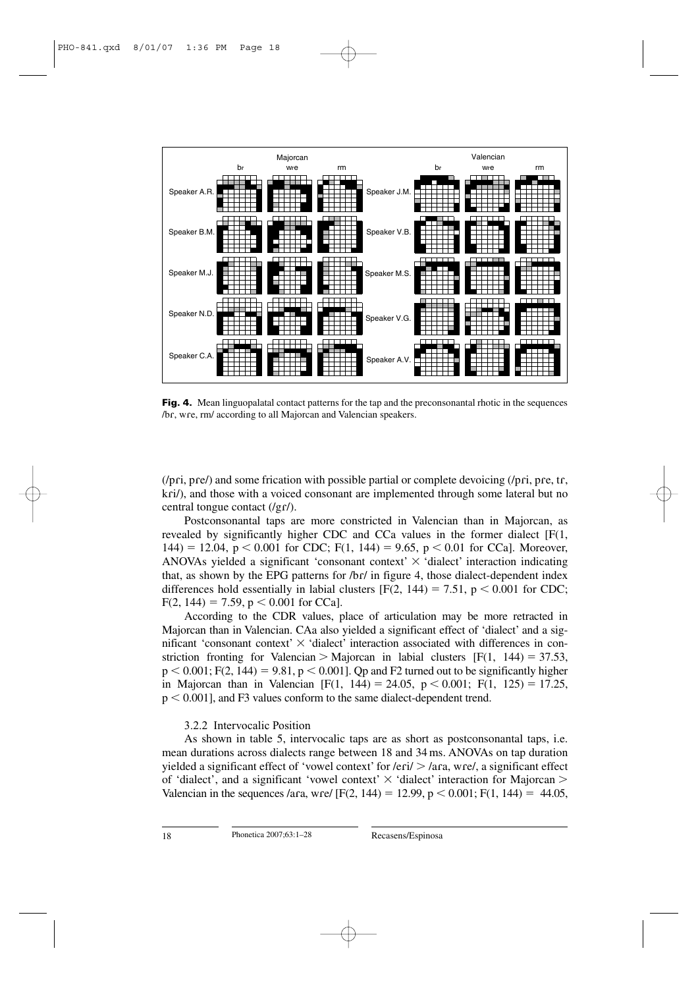

**Fig. 4.** Mean linguopalatal contact patterns for the tap and the preconsonantal rhotic in the sequences /bɾ, wɾe, rm/ according to all Majorcan and Valencian speakers.

 $(1)$  (/pri, pre/) and some frication with possible partial or complete devoicing  $(1)$  pri, pre, tr, kɾi/), and those with a voiced consonant are implemented through some lateral but no central tongue contact (/gɾ/).

Postconsonantal taps are more constricted in Valencian than in Majorcan, as revealed by significantly higher CDC and CCa values in the former dialect  $[F(1,$  $144$ ) = 12.04, p < 0.001 for CDC; F(1, 144) = 9.65, p < 0.01 for CCa]. Moreover, ANOVAs yielded a significant 'consonant context'  $\times$  'dialect' interaction indicating that, as shown by the EPG patterns for /bɾ/ in figure 4, those dialect-dependent index differences hold essentially in labial clusters  $[F(2, 144) = 7.51, p < 0.001$  for CDC;  $F(2, 144) = 7.59$ ,  $p < 0.001$  for CCa].

According to the CDR values, place of articulation may be more retracted in Majorcan than in Valencian. CAa also yielded a significant effect of 'dialect' and a significant 'consonant context'  $\times$  'dialect' interaction associated with differences in constriction fronting for Valencian > Majorcan in labial clusters  $[F(1, 144) = 37.53,$  $p < 0.001$ ; F(2, 144) = 9.81,  $p < 0.001$ ]. Qp and F2 turned out to be significantly higher in Majorcan than in Valencian [F(1, 144) = 24.05,  $p < 0.001$ ; F(1, 125) = 17.25,  $p < 0.001$ , and F3 values conform to the same dialect-dependent trend.

3.2.2 Intervocalic Position

As shown in table 5, intervocalic taps are as short as postconsonantal taps, i.e. mean durations across dialects range between 18 and 34 ms. ANOVAs on tap duration yielded a significant effect of 'vowel context' for  $/eri$   $>$   $/ara$ , wre $/$ , a significant effect of 'dialect', and a significant 'vowel context'  $\times$  'dialect' interaction for Majorcan  $>$ Valencian in the sequences /ara, wre/  $[F(2, 144) = 12.99, p < 0.001; F(1, 144) = 44.05$ ,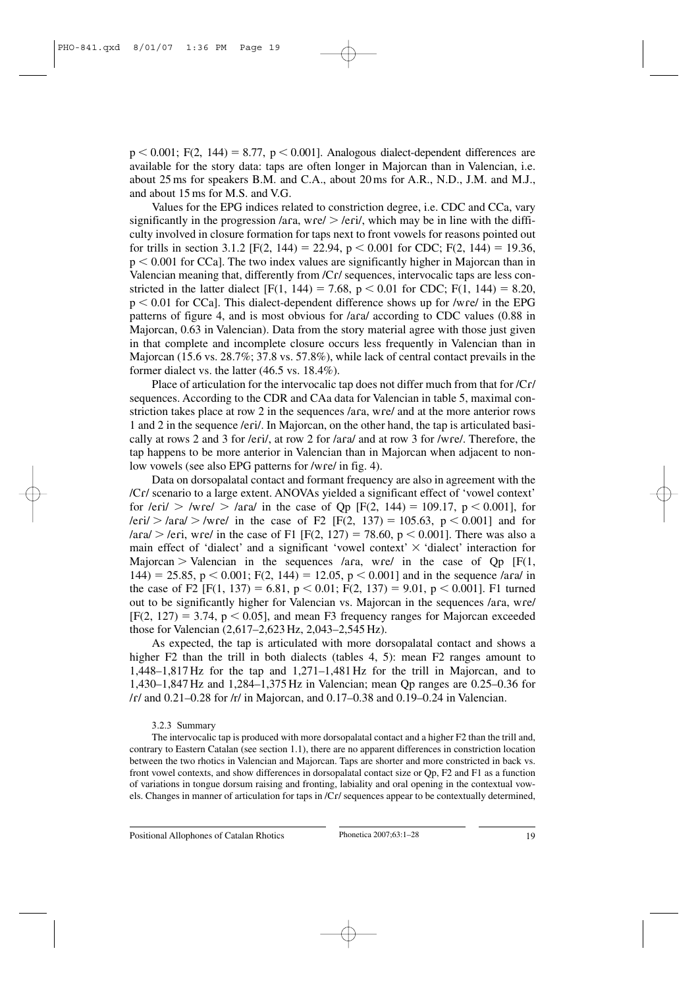$p < 0.001$ ; F(2, 144) = 8.77,  $p < 0.001$ ]. Analogous dialect-dependent differences are available for the story data: taps are often longer in Majorcan than in Valencian, i.e. about 25 ms for speakers B.M. and C.A., about 20 ms for A.R., N.D., J.M. and M.J., and about 15 ms for M.S. and V.G.

Values for the EPG indices related to constriction degree, i.e. CDC and CCa, vary significantly in the progression /ara, wre/  $>$  /eri/, which may be in line with the difficulty involved in closure formation for taps next to front vowels for reasons pointed out for trills in section 3.1.2 [F(2, 144) = 22.94,  $p < 0.001$  for CDC; F(2, 144) = 19.36,  $p < 0.001$  for CCa]. The two index values are significantly higher in Majorcan than in Valencian meaning that, differently from /Cr/ sequences, intervocalic taps are less constricted in the latter dialect [F(1, 144) = 7.68,  $p < 0.01$  for CDC; F(1, 144) = 8.20,  $p < 0.01$  for CCa]. This dialect-dependent difference shows up for /wre/ in the EPG patterns of figure 4, and is most obvious for /aɾa/ according to CDC values (0.88 in Majorcan, 0.63 in Valencian). Data from the story material agree with those just given in that complete and incomplete closure occurs less frequently in Valencian than in Majorcan (15.6 vs. 28.7%; 37.8 vs. 57.8%), while lack of central contact prevails in the former dialect vs. the latter (46.5 vs. 18.4%).

Place of articulation for the intervocalic tap does not differ much from that for  $/Cr/$ sequences. According to the CDR and CAa data for Valencian in table 5, maximal constriction takes place at row 2 in the sequences /ara, wre/ and at the more anterior rows 1 and 2 in the sequence /eɾi/. In Majorcan, on the other hand, the tap is articulated basically at rows 2 and 3 for /eɾi/, at row 2 for /aɾa/ and at row 3 for /wɾe/. Therefore, the tap happens to be more anterior in Valencian than in Majorcan when adjacent to nonlow vowels (see also EPG patterns for /wɾe/ in fig. 4).

Data on dorsopalatal contact and formant frequency are also in agreement with the /Cɾ/ scenario to a large extent. ANOVAs yielded a significant effect of 'vowel context' for /eri/ > /wre/ > /ara/ in the case of Qp [F(2, 144) = 109.17, p < 0.001], for  $/$ eri $/$  > /ara $/$  > /wre/ in the case of F2 [F(2, 137) = 105.63, p < 0.001] and for  $\alpha$  /ara/ > /eri, wre/ in the case of F1 [F(2, 127) = 78.60, p < 0.001]. There was also a main effect of 'dialect' and a significant 'vowel context'  $\times$  'dialect' interaction for Majorcan > Valencian in the sequences /ara, wre/ in the case of Qp  $[F(1,$  $144$ ) = 25.85, p < 0.001; F(2, 144) = 12.05, p < 0.001] and in the sequence /ara/ in the case of F2 [F(1, 137) = 6.81,  $p < 0.01$ ; F(2, 137) = 9.01,  $p < 0.001$ ]. F1 turned out to be significantly higher for Valencian vs. Majorcan in the sequences /aɾa, wɾe/  $[F(2, 127) = 3.74, p < 0.05]$ , and mean F3 frequency ranges for Majorcan exceeded those for Valencian (2,617–2,623 Hz, 2,043–2,545 Hz).

As expected, the tap is articulated with more dorsopalatal contact and shows a higher F2 than the trill in both dialects (tables 4, 5): mean F2 ranges amount to 1,448–1,817 Hz for the tap and 1,271–1,481 Hz for the trill in Majorcan, and to 1,430–1,847 Hz and 1,284–1,375 Hz in Valencian; mean Qp ranges are 0.25–0.36 for /ɾ/ and 0.21–0.28 for /r/ in Majorcan, and 0.17–0.38 and 0.19–0.24 in Valencian.

3.2.3 Summary

The intervocalic tap is produced with more dorsopalatal contact and a higher F2 than the trill and, contrary to Eastern Catalan (see section 1.1), there are no apparent differences in constriction location between the two rhotics in Valencian and Majorcan. Taps are shorter and more constricted in back vs. front vowel contexts, and show differences in dorsopalatal contact size or Qp, F2 and F1 as a function of variations in tongue dorsum raising and fronting, labiality and oral opening in the contextual vowels. Changes in manner of articulation for taps in /Cɾ/ sequences appear to be contextually determined,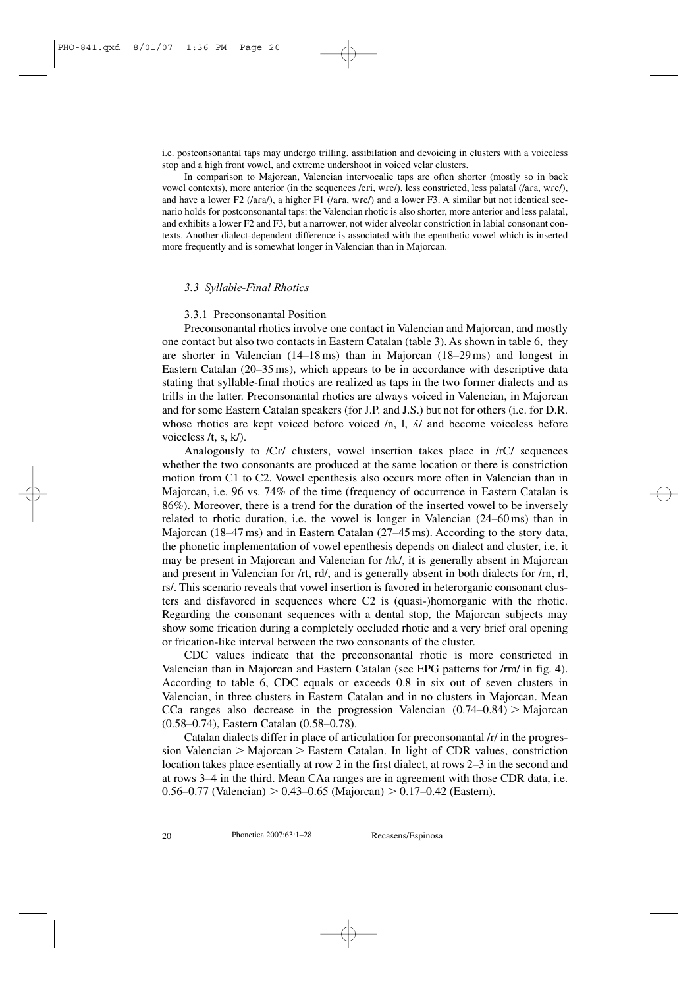i.e. postconsonantal taps may undergo trilling, assibilation and devoicing in clusters with a voiceless stop and a high front vowel, and extreme undershoot in voiced velar clusters.

In comparison to Majorcan, Valencian intervocalic taps are often shorter (mostly so in back vowel contexts), more anterior (in the sequences /eri, wre/), less constricted, less palatal (/ara, wre/), and have a lower F2 (/ara/), a higher F1 (/ara, wre/) and a lower F3. A similar but not identical scenario holds for postconsonantal taps: the Valencian rhotic is also shorter, more anterior and less palatal, and exhibits a lower F2 and F3, but a narrower, not wider alveolar constriction in labial consonant contexts. Another dialect-dependent difference is associated with the epenthetic vowel which is inserted more frequently and is somewhat longer in Valencian than in Majorcan.

### *3.3 Syllable-Final Rhotics*

#### 3.3.1 Preconsonantal Position

Preconsonantal rhotics involve one contact in Valencian and Majorcan, and mostly one contact but also two contacts in Eastern Catalan (table 3). As shown in table 6, they are shorter in Valencian (14–18 ms) than in Majorcan (18–29 ms) and longest in Eastern Catalan (20–35 ms), which appears to be in accordance with descriptive data stating that syllable-final rhotics are realized as taps in the two former dialects and as trills in the latter. Preconsonantal rhotics are always voiced in Valencian, in Majorcan and for some Eastern Catalan speakers (for J.P. and J.S.) but not for others (i.e. for D.R. whose rhotics are kept voiced before voiced /n, l,  $\Lambda$ / and become voiceless before voiceless /t, s, k/).

Analogously to /Cr/ clusters, vowel insertion takes place in /rC/ sequences whether the two consonants are produced at the same location or there is constriction motion from C1 to C2. Vowel epenthesis also occurs more often in Valencian than in Majorcan, i.e. 96 vs. 74% of the time (frequency of occurrence in Eastern Catalan is 86%). Moreover, there is a trend for the duration of the inserted vowel to be inversely related to rhotic duration, i.e. the vowel is longer in Valencian (24–60 ms) than in Majorcan (18–47 ms) and in Eastern Catalan (27–45 ms). According to the story data, the phonetic implementation of vowel epenthesis depends on dialect and cluster, i.e. it may be present in Majorcan and Valencian for /rk/, it is generally absent in Majorcan and present in Valencian for /rt, rd/, and is generally absent in both dialects for /rn, rl, rs/. This scenario reveals that vowel insertion is favored in heterorganic consonant clusters and disfavored in sequences where C2 is (quasi-)homorganic with the rhotic. Regarding the consonant sequences with a dental stop, the Majorcan subjects may show some frication during a completely occluded rhotic and a very brief oral opening or frication-like interval between the two consonants of the cluster.

CDC values indicate that the preconsonantal rhotic is more constricted in Valencian than in Majorcan and Eastern Catalan (see EPG patterns for /rm/ in fig. 4). According to table 6, CDC equals or exceeds 0.8 in six out of seven clusters in Valencian, in three clusters in Eastern Catalan and in no clusters in Majorcan. Mean CCa ranges also decrease in the progression Valencian  $(0.74-0.84) >$  Majorcan (0.58–0.74), Eastern Catalan (0.58–0.78).

Catalan dialects differ in place of articulation for preconsonantal /r/ in the progression Valencian  $>$  Majorcan  $>$  Eastern Catalan. In light of CDR values, constriction location takes place esentially at row 2 in the first dialect, at rows 2–3 in the second and at rows 3–4 in the third. Mean CAa ranges are in agreement with those CDR data, i.e. 0.56–0.77 (Valencian)  $> 0.43$ –0.65 (Majorcan)  $> 0.17$ –0.42 (Eastern).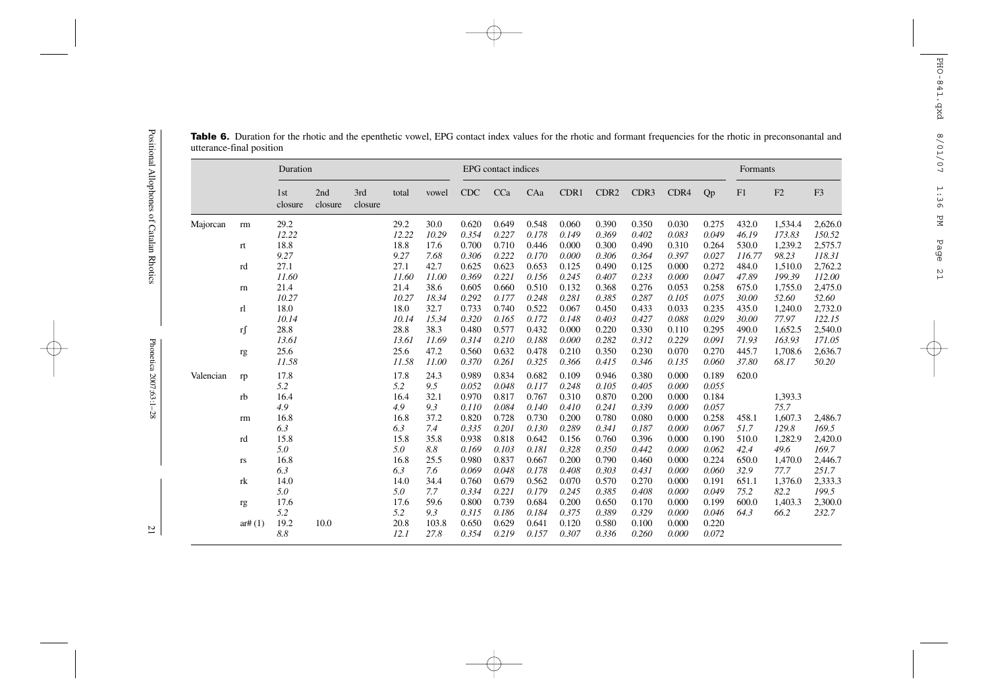|           |                        | Duration       |                |                |               |               |                | EPG contact indices |                |                |                  |                  |                |                |                 |                   | Formants          |  |  |
|-----------|------------------------|----------------|----------------|----------------|---------------|---------------|----------------|---------------------|----------------|----------------|------------------|------------------|----------------|----------------|-----------------|-------------------|-------------------|--|--|
|           |                        | 1st<br>closure | 2nd<br>closure | 3rd<br>closure | total         | vowel         | <b>CDC</b>     | CCa                 | CAa            | CDR1           | CDR <sub>2</sub> | CDR <sub>3</sub> | CDR4           | Qp             | F1              | F2                | F <sub>3</sub>    |  |  |
| Majorcan  | rm                     | 29.2<br>12.22  |                |                | 29.2<br>12.22 | 30.0<br>10.29 | 0.620<br>0.354 | 0.649<br>0.227      | 0.548<br>0.178 | 0.060<br>0.149 | 0.390<br>0.369   | 0.350<br>0.402   | 0.030<br>0.083 | 0.275<br>0.049 | 432.0<br>46.19  | 1,534.4<br>173.83 | 2,626.0<br>150.52 |  |  |
|           | rt                     | 18.8<br>9.27   |                |                | 18.8<br>9.27  | 17.6<br>7.68  | 0.700<br>0.306 | 0.710<br>0.222      | 0.446<br>0.170 | 0.000<br>0.000 | 0.300<br>0.306   | 0.490<br>0.364   | 0.310<br>0.397 | 0.264<br>0.027 | 530.0<br>116.77 | 1,239.2<br>98.23  | 2,575.7<br>118.31 |  |  |
|           | rd                     | 27.1<br>11.60  |                |                | 27.1<br>11.60 | 42.7<br>11.00 | 0.625<br>0.369 | 0.623<br>0.221      | 0.653<br>0.156 | 0.125<br>0.245 | 0.490<br>0.407   | 0.125<br>0.233   | 0.000<br>0.000 | 0.272<br>0.047 | 484.0<br>47.89  | 1,510.0<br>199.39 | 2,762.2<br>112.00 |  |  |
|           | rn                     | 21.4<br>10.27  |                |                | 21.4<br>10.27 | 38.6<br>18.34 | 0.605<br>0.292 | 0.660<br>0.177      | 0.510<br>0.248 | 0.132<br>0.281 | 0.368<br>0.385   | 0.276<br>0.287   | 0.053<br>0.105 | 0.258<br>0.075 | 675.0<br>30.00  | 1,755.0<br>52.60  | 2,475.0<br>52.60  |  |  |
|           | rl                     | 18.0<br>10.14  |                |                | 18.0<br>10.14 | 32.7<br>15.34 | 0.733<br>0.320 | 0.740<br>0.165      | 0.522<br>0.172 | 0.067<br>0.148 | 0.450<br>0.403   | 0.433<br>0.427   | 0.033<br>0.088 | 0.235<br>0.029 | 435.0<br>30.00  | 1,240.0<br>77.97  | 2,732.0<br>122.15 |  |  |
|           | r∫                     | 28.8<br>13.61  |                |                | 28.8<br>13.61 | 38.3<br>11.69 | 0.480<br>0.314 | 0.577<br>0.210      | 0.432<br>0.188 | 0.000<br>0.000 | 0.220<br>0.282   | 0.330<br>0.312   | 0.110<br>0.229 | 0.295<br>0.091 | 490.0<br>71.93  | 1,652.5<br>163.93 | 2,540.0<br>171.05 |  |  |
|           | rg                     | 25.6<br>11.58  |                |                | 25.6<br>11.58 | 47.2<br>11.00 | 0.560<br>0.370 | 0.632<br>0.261      | 0.478<br>0.325 | 0.210<br>0.366 | 0.350<br>0.415   | 0.230<br>0.346   | 0.070<br>0.135 | 0.270<br>0.060 | 445.7<br>37.80  | 1,708.6<br>68.17  | 2,636.7<br>50.20  |  |  |
| Valencian | rp                     | 17.8<br>5.2    |                |                | 17.8<br>5.2   | 24.3<br>9.5   | 0.989<br>0.052 | 0.834<br>0.048      | 0.682<br>0.117 | 0.109<br>0.248 | 0.946<br>0.105   | 0.380<br>0.405   | 0.000<br>0.000 | 0.189<br>0.055 | 620.0           |                   |                   |  |  |
|           | rb                     | 16.4<br>4.9    |                |                | 16.4<br>4.9   | 32.1<br>9.3   | 0.970<br>0.110 | 0.817<br>0.084      | 0.767<br>0.140 | 0.310<br>0.410 | 0.870<br>0.241   | 0.200<br>0.339   | 0.000<br>0.000 | 0.184<br>0.057 |                 | 1,393.3<br>75.7   |                   |  |  |
|           | rm                     | 16.8<br>6.3    |                |                | 16.8<br>6.3   | 37.2<br>7.4   | 0.820<br>0.335 | 0.728<br>0.201      | 0.730<br>0.130 | 0.200<br>0.289 | 0.780<br>0.341   | 0.080<br>0.187   | 0.000<br>0.000 | 0.258<br>0.067 | 458.1<br>51.7   | 1,607.3<br>129.8  | 2,486.7<br>169.5  |  |  |
|           | rd                     | 15.8<br>5.0    |                |                | 15.8<br>5.0   | 35.8<br>8.8   | 0.938<br>0.169 | 0.818<br>0.103      | 0.642<br>0.181 | 0.156<br>0.328 | 0.760<br>0.350   | 0.396<br>0.442   | 0.000<br>0.000 | 0.190<br>0.062 | 510.0<br>42.4   | 1,282.9<br>49.6   | 2,420.0<br>169.7  |  |  |
|           | $\mathbf{r}\mathbf{s}$ | 16.8<br>6.3    |                |                | 16.8<br>6.3   | 25.5<br>7.6   | 0.980<br>0.069 | 0.837<br>0.048      | 0.667<br>0.178 | 0.200<br>0.408 | 0.790<br>0.303   | 0.460<br>0.431   | 0.000<br>0.000 | 0.224<br>0.060 | 650.0<br>32.9   | 1,470.0<br>77.7   | 2,446.7<br>251.7  |  |  |
|           | rk                     | 14.0<br>5.0    |                |                | 14.0<br>5.0   | 34.4<br>7.7   | 0.760<br>0.334 | 0.679<br>0.221      | 0.562<br>0.179 | 0.070<br>0.245 | 0.570<br>0.385   | 0.270<br>0.408   | 0.000<br>0.000 | 0.191<br>0.049 | 651.1<br>75.2   | 1,376.0<br>82.2   | 2,333.3<br>199.5  |  |  |
|           | rg                     | 17.6<br>5.2    |                |                | 17.6<br>5.2   | 59.6<br>9.3   | 0.800<br>0.315 | 0.739<br>0.186      | 0.684<br>0.184 | 0.200<br>0.375 | 0.650<br>0.389   | 0.170<br>0.329   | 0.000<br>0.000 | 0.199<br>0.046 | 600.0<br>64.3   | 1,403.3<br>66.2   | 2,300.0<br>232.7  |  |  |
|           | artf(1)                | 19.2<br>8.8    | 10.0           |                | 20.8<br>12.1  | 103.8<br>27.8 | 0.650<br>0.354 | 0.629<br>0.219      | 0.641<br>0.157 | 0.120<br>0.307 | 0.580<br>0.336   | 0.100<br>0.260   | 0.000<br>0.000 | 0.220<br>0.072 |                 |                   |                   |  |  |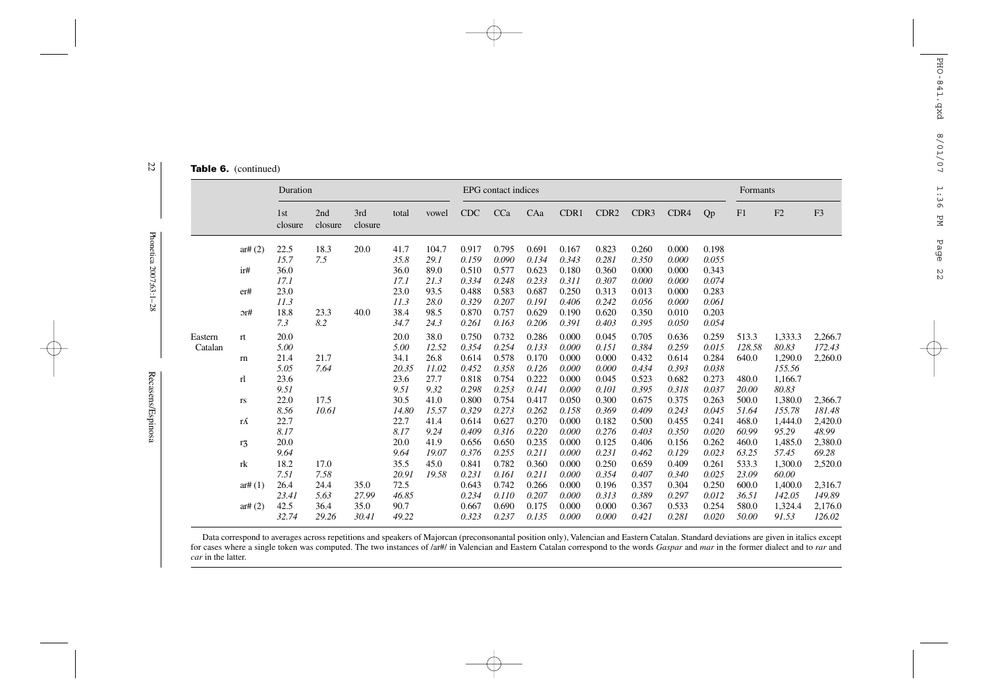| PHi<br>٩<br>Ć<br>).<br>I<br>178<br>qxd |
|----------------------------------------|
| $\infty$<br>$\epsilon$                 |
| $\overline{a}$<br>Ł                    |
| $\overline{C}$                         |
| $\ddot{ }$ :<br>۸                      |
| ς<br>Θ                                 |
| Мď                                     |
| Page                                   |
| 22                                     |
|                                        |

보

Phonetica 2007;63:1–28 **Table 6.** (continued)<br>
1st 2nd 3rd total vowel CDC CCa CAa CDRI CDR2 CDR3 CDR4 Qp F1 F2 F3<br>
1st 2nd 3rd total vowel CDC CCa CAa CDRI CDR2 CDR3 CDR4 Qp F1 F2 F3<br>
1st and 3rd total vowel CDC CCa CAa CDRI CDR2 CDR3 CDR4 Qp 20.0 20.0 41.9 0.656 0.650 0.235 0.000 0.125 0.406 0.156 0.262 460.0 1,485.0 2,380.0 *9.64 9.64 19.07 0.376 0.255 0.211 0.000 0.231 0.462 0.129 0.023 63.25 57.45 69.28*69.28 rk 18.2 17.0 35.5 45.0 0.841 0.782 0.360 0.000 0.250 0.659 0.409 0.261 533.3 1,300.0 2,520.0 *7.51 7.58 20.91 19.58 0.231 0.161 0.211 0.000 0.354 0.407 0.340 0.025 23.09 60.00*ar# (1) 26.4 24.4 35.0 72.5 0.643 0.742 0.266 0.000 0.196 0.357 0.304 0.250 600.0 1,400.0 2,316.7 23.41 5.63 27.99 46.85 0.234 0.110 0.207 0.000 0.313 0.389 0.297 0.012 36.51 142.05 149.89 ar# (2) 42.5 36.4 35.0 90.7 0.667 0.690 0.175 0.000 0.000 0.367 0.533 0.254 580.0 1,324.4 2,176.0 32.74 29.26 30.41 49.22 - 0.323 0.237 0.135 0.000 0.000 0.421 0.281 0.020 50.00 91.53 126.02 126.02

Data correspond to averages across repetitions and speakers of Majorcan (preconsonantal position only), Valencian and Eastern Catalan. Standard deviations are given in italics except for cases where a single token was computed. The two instances of /ar#/ in Valencian and Eastern Catalan correspond to the words *Gaspar* and *mar* in the former dialect and to *rar* and *car* in the latter.

22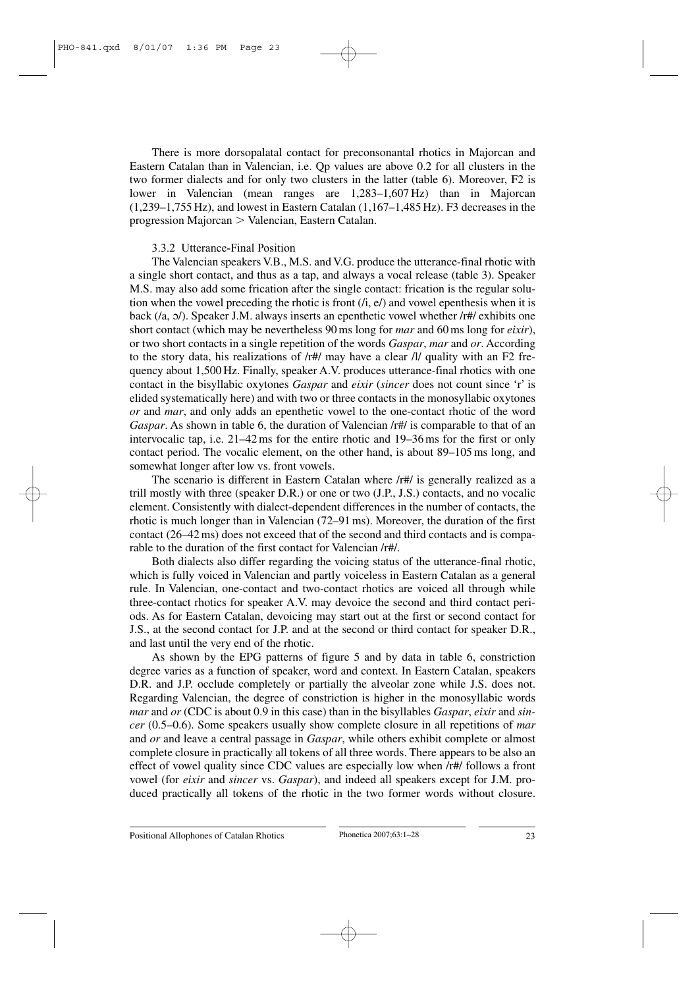There is more dorsopalatal contact for preconsonantal rhotics in Majorcan and Eastern Catalan than in Valencian, i.e. Qp values are above 0.2 for all clusters in the two former dialects and for only two clusters in the latter (table 6). Moreover, F2 is lower in Valencian (mean ranges are 1,283–1,607 Hz) than in Majorcan (1,239–1,755 Hz), and lowest in Eastern Catalan (1,167–1,485 Hz). F3 decreases in the progression Majorcan > Valencian, Eastern Catalan.

### 3.3.2 Utterance-Final Position

The Valencian speakers V.B., M.S. and V.G. produce the utterance-final rhotic with a single short contact, and thus as a tap, and always a vocal release (table 3). Speaker M.S. may also add some frication after the single contact: frication is the regular solution when the vowel preceding the rhotic is front  $(i, e)$  and vowel epenthesis when it is back (/a, ɔ/). Speaker J.M. always inserts an epenthetic vowel whether /r#/ exhibits one short contact (which may be nevertheless 90 ms long for *mar* and 60 ms long for *eixir*), or two short contacts in a single repetition of the words *Gaspar*, *mar* and *or*. According to the story data, his realizations of  $/r\#/$  may have a clear  $///$  quality with an F2 frequency about 1,500 Hz. Finally, speaker A.V. produces utterance-final rhotics with one contact in the bisyllabic oxytones *Gaspar* and *eixir* (*sincer* does not count since 'r' is elided systematically here) and with two or three contacts in the monosyllabic oxytones *or* and *mar*, and only adds an epenthetic vowel to the one-contact rhotic of the word *Gaspar*. As shown in table 6, the duration of Valencian /r#/ is comparable to that of an intervocalic tap, i.e. 21–42 ms for the entire rhotic and 19–36 ms for the first or only contact period. The vocalic element, on the other hand, is about 89–105 ms long, and somewhat longer after low vs. front vowels.

The scenario is different in Eastern Catalan where /r#/ is generally realized as a trill mostly with three (speaker D.R.) or one or two (J.P., J.S.) contacts, and no vocalic element. Consistently with dialect-dependent differences in the number of contacts, the rhotic is much longer than in Valencian (72–91 ms). Moreover, the duration of the first contact (26–42 ms) does not exceed that of the second and third contacts and is comparable to the duration of the first contact for Valencian /r#/.

Both dialects also differ regarding the voicing status of the utterance-final rhotic, which is fully voiced in Valencian and partly voiceless in Eastern Catalan as a general rule. In Valencian, one-contact and two-contact rhotics are voiced all through while three-contact rhotics for speaker A.V. may devoice the second and third contact periods. As for Eastern Catalan, devoicing may start out at the first or second contact for J.S., at the second contact for J.P. and at the second or third contact for speaker D.R., and last until the very end of the rhotic.

As shown by the EPG patterns of figure 5 and by data in table 6, constriction degree varies as a function of speaker, word and context. In Eastern Catalan, speakers D.R. and J.P. occlude completely or partially the alveolar zone while J.S. does not. Regarding Valencian, the degree of constriction is higher in the monosyllabic words *mar* and *or* (CDC is about 0.9 in this case) than in the bisyllables *Gaspar*, *eixir* and *sincer* (0.5–0.6). Some speakers usually show complete closure in all repetitions of *mar* and *or* and leave a central passage in *Gaspar*, while others exhibit complete or almost complete closure in practically all tokens of all three words. There appears to be also an effect of vowel quality since CDC values are especially low when /r#/ follows a front vowel (for *eixir* and *sincer* vs. *Gaspar*), and indeed all speakers except for J.M. produced practically all tokens of the rhotic in the two former words without closure.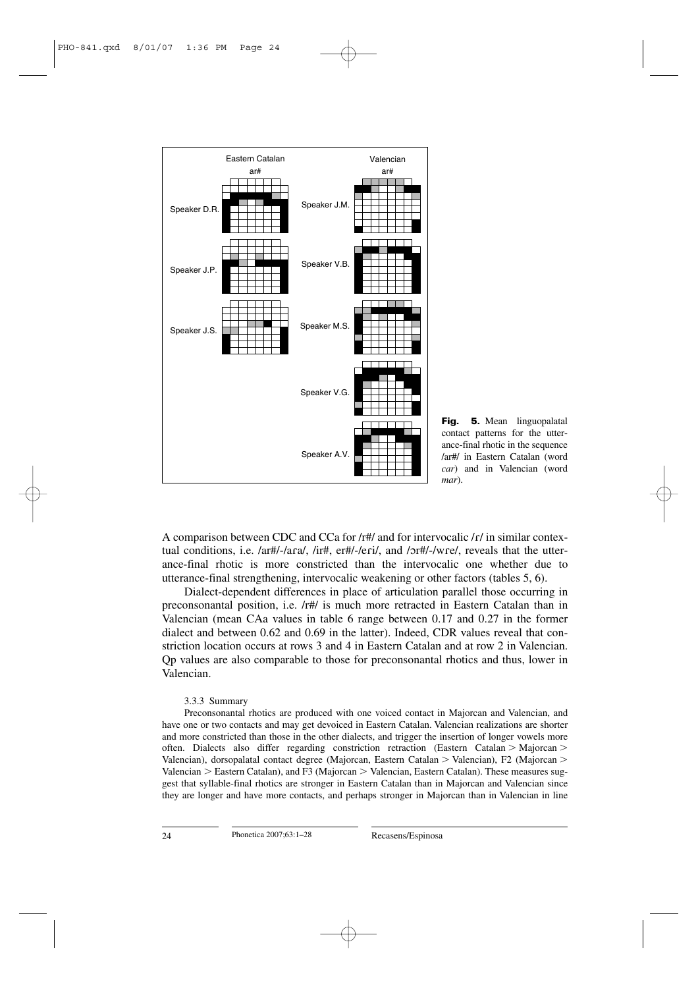

**Fig. 5.** Mean linguopalatal contact patterns for the utterance-final rhotic in the sequence /ar#/ in Eastern Catalan (word *car*) and in Valencian (word *mar*).

A comparison between CDC and CCa for  $\pi/$  and for intervocalic  $\pi/$  in similar contextual conditions, i.e. /ar#/-/aɾa/, /ir#, er#/-/eɾi/, and /ɔr#/-/wɾe/, reveals that the utterance-final rhotic is more constricted than the intervocalic one whether due to utterance-final strengthening, intervocalic weakening or other factors (tables 5, 6).

Dialect-dependent differences in place of articulation parallel those occurring in preconsonantal position, i.e. /r#/ is much more retracted in Eastern Catalan than in Valencian (mean CAa values in table 6 range between 0.17 and 0.27 in the former dialect and between 0.62 and 0.69 in the latter). Indeed, CDR values reveal that constriction location occurs at rows 3 and 4 in Eastern Catalan and at row 2 in Valencian. Qp values are also comparable to those for preconsonantal rhotics and thus, lower in Valencian.

### 3.3.3 Summary

Preconsonantal rhotics are produced with one voiced contact in Majorcan and Valencian, and have one or two contacts and may get devoiced in Eastern Catalan. Valencian realizations are shorter and more constricted than those in the other dialects, and trigger the insertion of longer vowels more often. Dialects also differ regarding constriction retraction (Eastern Catalan  $>$  Majorcan  $>$ Valencian), dorsopalatal contact degree (Majorcan, Eastern Catalan Valencian), F2 (Majorcan Valencian  $>$  Eastern Catalan), and F3 (Majorcan  $>$  Valencian, Eastern Catalan). These measures suggest that syllable-final rhotics are stronger in Eastern Catalan than in Majorcan and Valencian since they are longer and have more contacts, and perhaps stronger in Majorcan than in Valencian in line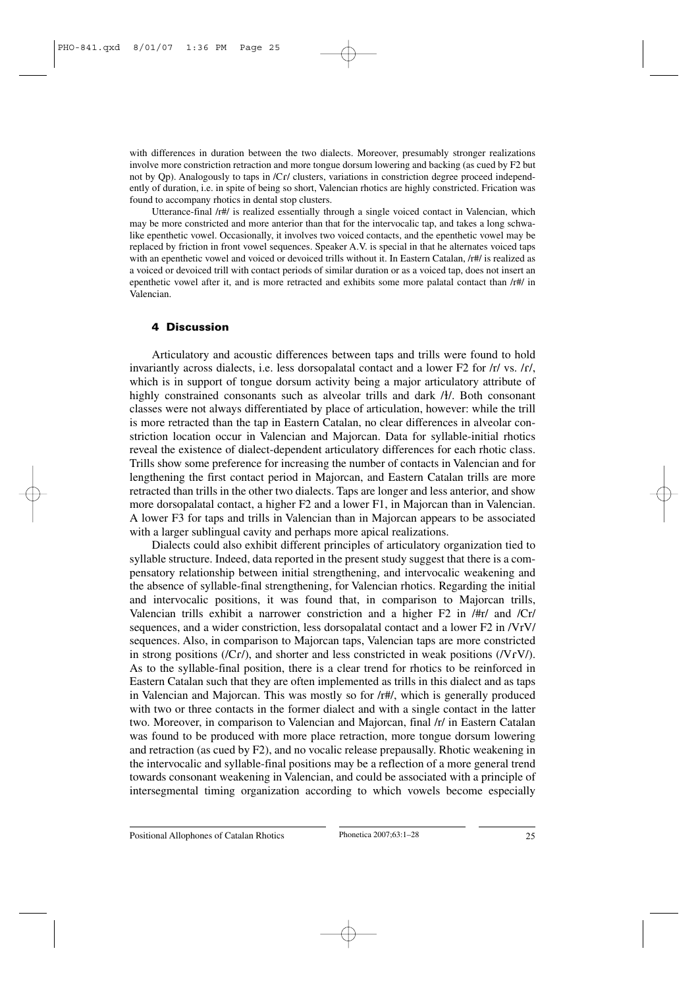with differences in duration between the two dialects. Moreover, presumably stronger realizations involve more constriction retraction and more tongue dorsum lowering and backing (as cued by F2 but not by Qp). Analogously to taps in /Cr/ clusters, variations in constriction degree proceed independently of duration, i.e. in spite of being so short, Valencian rhotics are highly constricted. Frication was found to accompany rhotics in dental stop clusters.

Utterance-final /r#/ is realized essentially through a single voiced contact in Valencian, which may be more constricted and more anterior than that for the intervocalic tap, and takes a long schwalike epenthetic vowel. Occasionally, it involves two voiced contacts, and the epenthetic vowel may be replaced by friction in front vowel sequences. Speaker A.V. is special in that he alternates voiced taps with an epenthetic vowel and voiced or devoiced trills without it. In Eastern Catalan,  $\pi$ *++* is realized as a voiced or devoiced trill with contact periods of similar duration or as a voiced tap, does not insert an epenthetic vowel after it, and is more retracted and exhibits some more palatal contact than  $\pi$ /r#/ in Valencian.

### **4 Discussion**

Articulatory and acoustic differences between taps and trills were found to hold invariantly across dialects, i.e. less dorsopalatal contact and a lower F2 for /r/ vs. /ɾ/, which is in support of tongue dorsum activity being a major articulatory attribute of highly constrained consonants such as alveolar trills and dark  $/H$ . Both consonant classes were not always differentiated by place of articulation, however: while the trill is more retracted than the tap in Eastern Catalan, no clear differences in alveolar constriction location occur in Valencian and Majorcan. Data for syllable-initial rhotics reveal the existence of dialect-dependent articulatory differences for each rhotic class. Trills show some preference for increasing the number of contacts in Valencian and for lengthening the first contact period in Majorcan, and Eastern Catalan trills are more retracted than trills in the other two dialects. Taps are longer and less anterior, and show more dorsopalatal contact, a higher F2 and a lower F1, in Majorcan than in Valencian. A lower F3 for taps and trills in Valencian than in Majorcan appears to be associated with a larger sublingual cavity and perhaps more apical realizations.

Dialects could also exhibit different principles of articulatory organization tied to syllable structure. Indeed, data reported in the present study suggest that there is a compensatory relationship between initial strengthening, and intervocalic weakening and the absence of syllable-final strengthening, for Valencian rhotics. Regarding the initial and intervocalic positions, it was found that, in comparison to Majorcan trills, Valencian trills exhibit a narrower constriction and a higher F2 in /#r/ and /Cr/ sequences, and a wider constriction, less dorsopalatal contact and a lower F2 in /VrV/ sequences. Also, in comparison to Majorcan taps, Valencian taps are more constricted in strong positions  $(\sqrt{Cr})$ , and shorter and less constricted in weak positions  $(\sqrt{Vr}V)$ . As to the syllable-final position, there is a clear trend for rhotics to be reinforced in Eastern Catalan such that they are often implemented as trills in this dialect and as taps in Valencian and Majorcan. This was mostly so for /r#/, which is generally produced with two or three contacts in the former dialect and with a single contact in the latter two. Moreover, in comparison to Valencian and Majorcan, final /r/ in Eastern Catalan was found to be produced with more place retraction, more tongue dorsum lowering and retraction (as cued by F2), and no vocalic release prepausally. Rhotic weakening in the intervocalic and syllable-final positions may be a reflection of a more general trend towards consonant weakening in Valencian, and could be associated with a principle of intersegmental timing organization according to which vowels become especially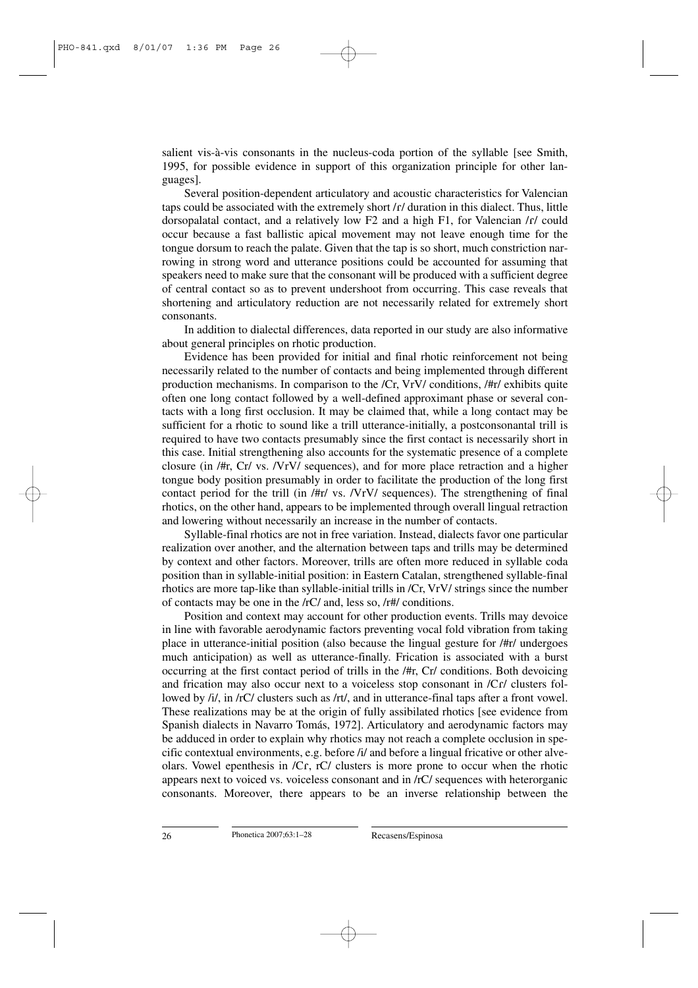salient vis-à-vis consonants in the nucleus-coda portion of the syllable [see Smith, 1995, for possible evidence in support of this organization principle for other languages].

Several position-dependent articulatory and acoustic characteristics for Valencian taps could be associated with the extremely short /ɾ/ duration in this dialect. Thus, little dorsopalatal contact, and a relatively low F2 and a high F1, for Valencian /ɾ/ could occur because a fast ballistic apical movement may not leave enough time for the tongue dorsum to reach the palate. Given that the tap is so short, much constriction narrowing in strong word and utterance positions could be accounted for assuming that speakers need to make sure that the consonant will be produced with a sufficient degree of central contact so as to prevent undershoot from occurring. This case reveals that shortening and articulatory reduction are not necessarily related for extremely short consonants.

In addition to dialectal differences, data reported in our study are also informative about general principles on rhotic production.

Evidence has been provided for initial and final rhotic reinforcement not being necessarily related to the number of contacts and being implemented through different production mechanisms. In comparison to the /Cr, VrV/ conditions, /#r/ exhibits quite often one long contact followed by a well-defined approximant phase or several contacts with a long first occlusion. It may be claimed that, while a long contact may be sufficient for a rhotic to sound like a trill utterance-initially, a postconsonantal trill is required to have two contacts presumably since the first contact is necessarily short in this case. Initial strengthening also accounts for the systematic presence of a complete closure (in /#r, Cr/ vs. /VrV/ sequences), and for more place retraction and a higher tongue body position presumably in order to facilitate the production of the long first contact period for the trill (in /#r/ vs. /VrV/ sequences). The strengthening of final rhotics, on the other hand, appears to be implemented through overall lingual retraction and lowering without necessarily an increase in the number of contacts.

Syllable-final rhotics are not in free variation. Instead, dialects favor one particular realization over another, and the alternation between taps and trills may be determined by context and other factors. Moreover, trills are often more reduced in syllable coda position than in syllable-initial position: in Eastern Catalan, strengthened syllable-final rhotics are more tap-like than syllable-initial trills in /Cr, VrV/ strings since the number of contacts may be one in the /rC/ and, less so, /r#/ conditions.

Position and context may account for other production events. Trills may devoice in line with favorable aerodynamic factors preventing vocal fold vibration from taking place in utterance-initial position (also because the lingual gesture for /#r/ undergoes much anticipation) as well as utterance-finally. Frication is associated with a burst occurring at the first contact period of trills in the /#r, Cr/ conditions. Both devoicing and frication may also occur next to a voiceless stop consonant in /Cɾ/ clusters followed by /i/, in /rC/ clusters such as /rt/, and in utterance-final taps after a front vowel. These realizations may be at the origin of fully assibilated rhotics [see evidence from Spanish dialects in Navarro Tomás, 1972]. Articulatory and aerodynamic factors may be adduced in order to explain why rhotics may not reach a complete occlusion in specific contextual environments, e.g. before /i/ and before a lingual fricative or other alveolars. Vowel epenthesis in /Cɾ, rC/ clusters is more prone to occur when the rhotic appears next to voiced vs. voiceless consonant and in /rC/ sequences with heterorganic consonants. Moreover, there appears to be an inverse relationship between the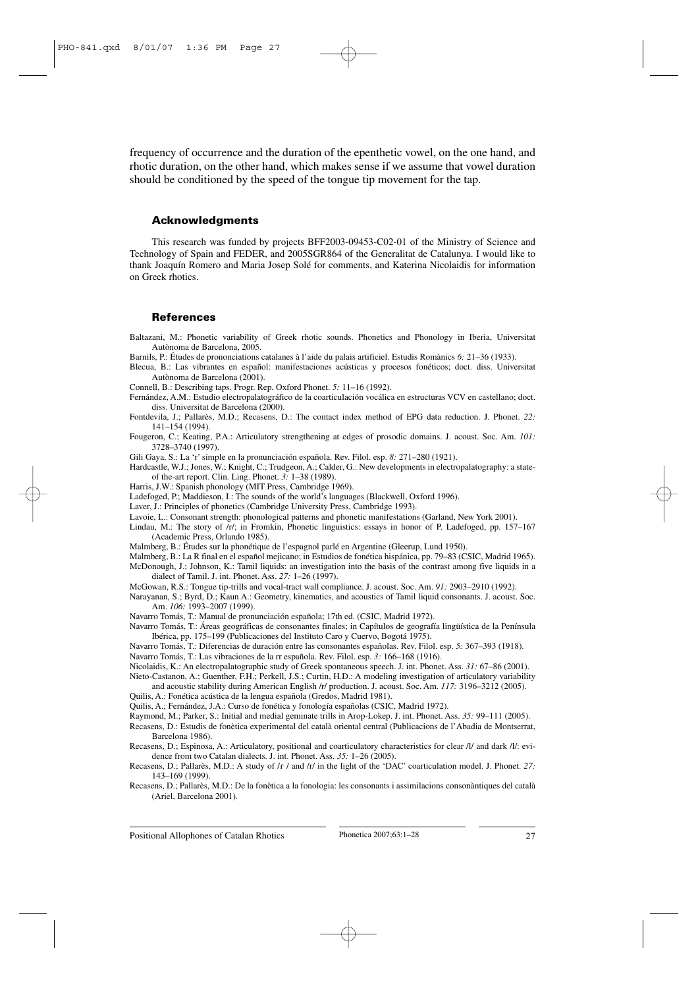frequency of occurrence and the duration of the epenthetic vowel, on the one hand, and rhotic duration, on the other hand, which makes sense if we assume that vowel duration should be conditioned by the speed of the tongue tip movement for the tap.

#### **Acknowledgments**

This research was funded by projects BFF2003-09453-C02-01 of the Ministry of Science and Technology of Spain and FEDER, and 2005SGR864 of the Generalitat de Catalunya. I would like to thank Joaquín Romero and Maria Josep Solé for comments, and Katerina Nicolaidis for information on Greek rhotics.

#### **References**

Baltazani, M.: Phonetic variability of Greek rhotic sounds. Phonetics and Phonology in Iberia, Universitat Autònoma de Barcelona, 2005.

Barnils, P.: Études de prononciations catalanes à l'aide du palais artificiel. Estudis Romànics *6:* 21–36 (1933).

Blecua, B.: Las vibrantes en español: manifestaciones acústicas y procesos fonéticos; doct. diss. Universitat Autònoma de Barcelona (2001).

Connell, B.: Describing taps. Progr. Rep. Oxford Phonet. *5:* 11–16 (1992).

Fernández, A.M.: Estudio electropalatográfico de la coarticulación vocálica en estructuras VCV en castellano; doct. diss. Universitat de Barcelona (2000).

Fontdevila, J.; Pallarès, M.D.; Recasens, D.: The contact index method of EPG data reduction. J. Phonet. *22:* 141–154 (1994).

Fougeron, C.; Keating, P.A.: Articulatory strengthening at edges of prosodic domains. J. acoust. Soc. Am. *101:* 3728–3740 (1997).

Gili Gaya, S.: La 'r' simple en la pronunciación española. Rev. Filol. esp. *8:* 271–280 (1921).

Hardcastle, W.J.; Jones, W.; Knight, C.; Trudgeon, A.; Calder, G.: New developments in electropalatography: a stateof the-art report. Clin. Ling. Phonet. *3:* 1–38 (1989).

Harris, J.W.: Spanish phonology (MIT Press, Cambridge 1969).

Ladefoged, P.; Maddieson, I.: The sounds of the world's languages (Blackwell, Oxford 1996).

Laver, J.: Principles of phonetics (Cambridge University Press, Cambridge 1993).

Lavoie, L.: Consonant strength: phonological patterns and phonetic manifestations (Garland, New York 2001). Lindau, M.: The story of /r/; in Fromkin, Phonetic linguistics: essays in honor of P. Ladefoged, pp. 157–167 (Academic Press, Orlando 1985).

Malmberg, B.: Études sur la phonétique de l'espagnol parlé en Argentine (Gleerup, Lund 1950).

Malmberg, B.: La R final en el español mejicano; in Estudios de fonética hispánica, pp. 79–83 (CSIC, Madrid 1965). McDonough, J.; Johnson, K.: Tamil liquids: an investigation into the basis of the contrast among five liquids in a dialect of Tamil. J. int. Phonet. Ass. *27:* 1–26 (1997).

McGowan, R.S.: Tongue tip-trills and vocal-tract wall compliance. J. acoust. Soc. Am. *91:* 2903–2910 (1992).

Narayanan, S.; Byrd, D.; Kaun A.: Geometry, kinematics, and acoustics of Tamil liquid consonants. J. acoust. Soc. Am. *106:* 1993–2007 (1999).

Navarro Tomás, T.: Manual de pronunciación española; 17th ed. (CSIC, Madrid 1972).

Navarro Tomás, T.: Áreas geográficas de consonantes finales; in Capítulos de geografía lingüística de la Península Ibérica, pp. 175–199 (Publicaciones del Instituto Caro y Cuervo, Bogotá 1975).

Navarro Tomás, T.: Diferencias de duración entre las consonantes españolas. Rev. Filol. esp. *5:* 367–393 (1918).

Navarro Tomás, T.: Las vibraciones de la rr española. Rev. Filol. esp. *3:* 166–168 (1916).

Nicolaidis, K.: An electropalatographic study of Greek spontaneous speech. J. int. Phonet. Ass. *31:* 67–86 (2001). Nieto-Castanon, A.; Guenther, F.H.; Perkell, J.S.; Curtin, H.D.: A modeling investigation of articulatory variability and acoustic stability during American English /r/ production. J. acoust. Soc. Am. *117:* 3196–3212 (2005).

Quilis, A.: Fonética acústica de la lengua española (Gredos, Madrid 1981).

Quilis, A.; Fernández, J.A.: Curso de fonética y fonología españolas (CSIC, Madrid 1972).

Raymond, M.; Parker, S.: Initial and medial geminate trills in Arop-Lokep. J. int. Phonet. Ass. *35:* 99–111 (2005).

Recasens, D.: Estudis de fonètica experimental del català oriental central (Publicacions de l'Abadia de Montserrat, Barcelona 1986)

Recasens, D.; Espinosa, A.: Articulatory, positional and coarticulatory characteristics for clear /l/ and dark /l/: evidence from two Catalan dialects. J. int. Phonet. Ass. *35:* 1–26 (2005).

Recasens, D.; Pallarès, M.D.: A study of /ɾ / and /r/ in the light of the 'DAC' coarticulation model. J. Phonet. *27:* 143–169 (1999).

Recasens, D.; Pallarès, M.D.: De la fonètica a la fonologia: les consonants i assimilacions consonàntiques del català (Ariel, Barcelona 2001).